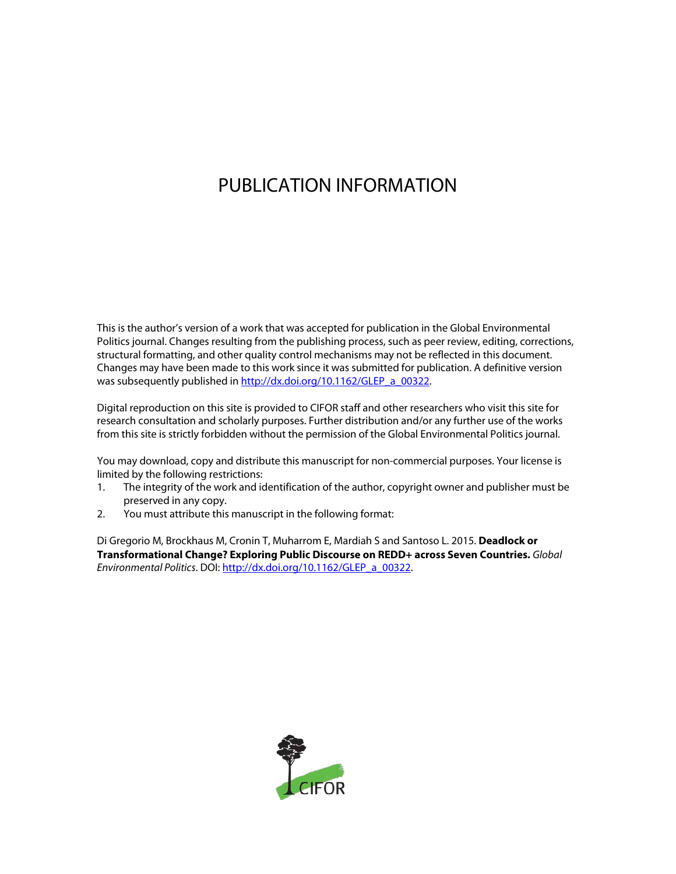# PUBLICATION INFORMATION

This is the author's version of a work that was accepted for publication in the Global Environmental Politics journal. Changes resulting from the publishing process, such as peer review, editing, corrections, structural formatting, and other quality control mechanisms may not be reflected in this document. Changes may have been made to this work since it was submitted for publication. A definitive version was subsequently published in [http://dx.doi.org/10.1162/GLEP\\_a\\_00322.](http://dx.doi.org/10.1162/GLEP_a_00322)

Digital reproduction on this site is provided to CIFOR staff and other researchers who visit this site for research consultation and scholarly purposes. Further distribution and/or any further use of the works from this site is strictly forbidden without the permission of the Global Environmental Politics journal.

You may download, copy and distribute this manuscript for non-commercial purposes. Your license is limited by the following restrictions:

- 1. The integrity of the work and identification of the author, copyright owner and publisher must be preserved in any copy.
- 2. You must attribute this manuscript in the following format:

Di Gregorio M, Brockhaus M, Cronin T, Muharrom E, Mardiah S and Santoso L. 2015. **Deadlock or Transformational Change? Exploring Public Discourse on REDD+ across Seven Countries.** *Global Environmental Politics*. DOI[: http://dx.doi.org/10.1162/GLEP\\_a\\_00322.](http://dx.doi.org/10.1162/GLEP_a_00322)

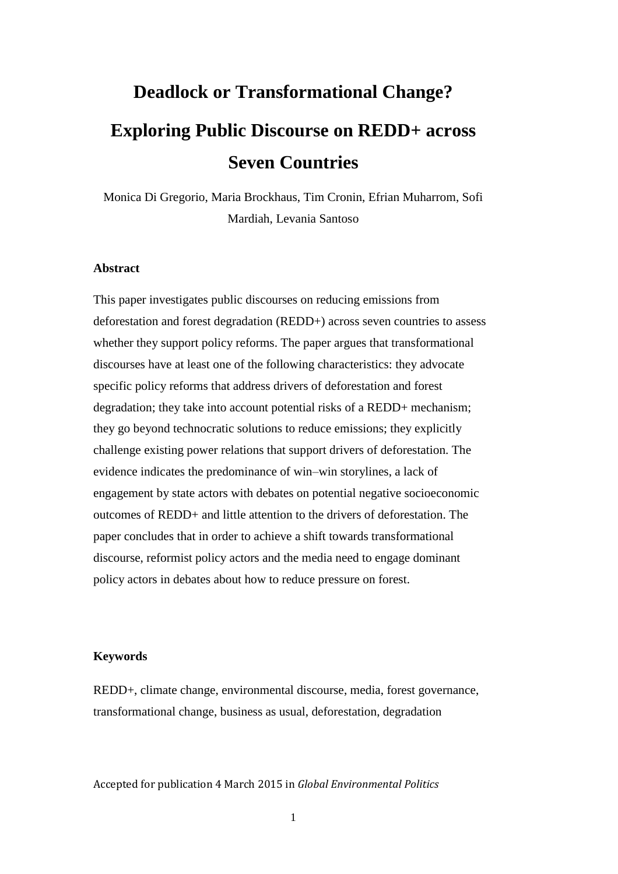# **Deadlock or Transformational Change? Exploring Public Discourse on REDD+ across Seven Countries**

Monica Di Gregorio, Maria Brockhaus, Tim Cronin, Efrian Muharrom, Sofi Mardiah, Levania Santoso

#### **Abstract**

This paper investigates public discourses on reducing emissions from deforestation and forest degradation (REDD+) across seven countries to assess whether they support policy reforms. The paper argues that transformational discourses have at least one of the following characteristics: they advocate specific policy reforms that address drivers of deforestation and forest degradation; they take into account potential risks of a REDD+ mechanism; they go beyond technocratic solutions to reduce emissions; they explicitly challenge existing power relations that support drivers of deforestation. The evidence indicates the predominance of win–win storylines, a lack of engagement by state actors with debates on potential negative socioeconomic outcomes of REDD+ and little attention to the drivers of deforestation. The paper concludes that in order to achieve a shift towards transformational discourse, reformist policy actors and the media need to engage dominant policy actors in debates about how to reduce pressure on forest.

#### **Keywords**

REDD+, climate change, environmental discourse, media, forest governance, transformational change, business as usual, deforestation, degradation

Accepted for publication 4 March 2015 in *Global Environmental Politics*

1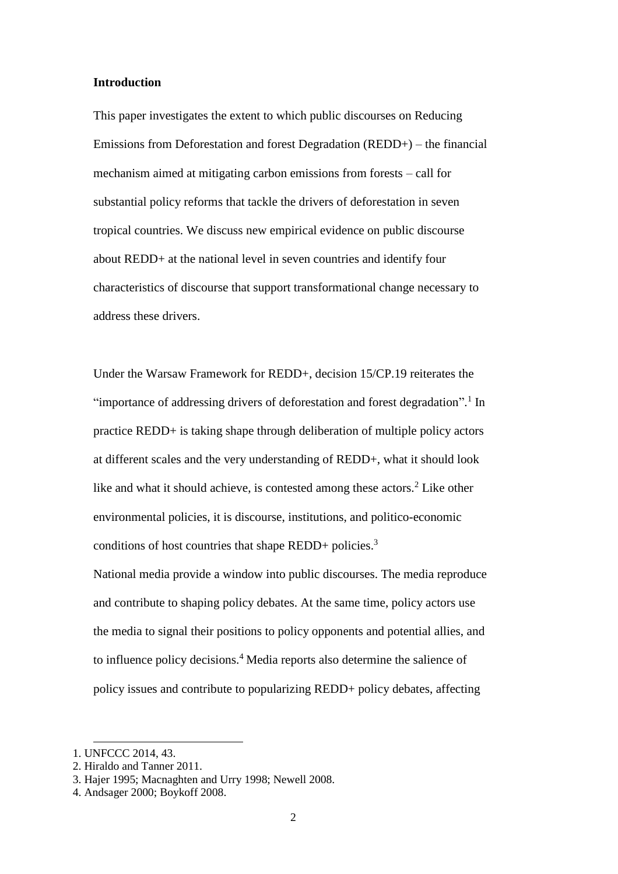#### **Introduction**

This paper investigates the extent to which public discourses on Reducing Emissions from Deforestation and forest Degradation (REDD+) – the financial mechanism aimed at mitigating carbon emissions from forests – call for substantial policy reforms that tackle the drivers of deforestation in seven tropical countries. We discuss new empirical evidence on public discourse about REDD+ at the national level in seven countries and identify four characteristics of discourse that support transformational change necessary to address these drivers.

Under the Warsaw Framework for REDD+, decision 15/CP.19 reiterates the "importance of addressing drivers of deforestation and forest degradation".<sup>1</sup> In practice REDD+ is taking shape through deliberation of multiple policy actors at different scales and the very understanding of REDD+, what it should look like and what it should achieve, is contested among these actors.<sup>2</sup> Like other environmental policies, it is discourse, institutions, and politico-economic conditions of host countries that shape REDD+ policies.<sup>3</sup>

National media provide a window into public discourses. The media reproduce and contribute to shaping policy debates. At the same time, policy actors use the media to signal their positions to policy opponents and potential allies, and to influence policy decisions.<sup>4</sup> Media reports also determine the salience of policy issues and contribute to popularizing REDD+ policy debates, affecting

<sup>1.</sup> UNFCCC 2014, 43.

<sup>2.</sup> Hiraldo and Tanner 2011.

<sup>3.</sup> Hajer 1995; Macnaghten and Urry 1998; Newell 2008.

<sup>4.</sup> Andsager 2000; Boykoff 2008.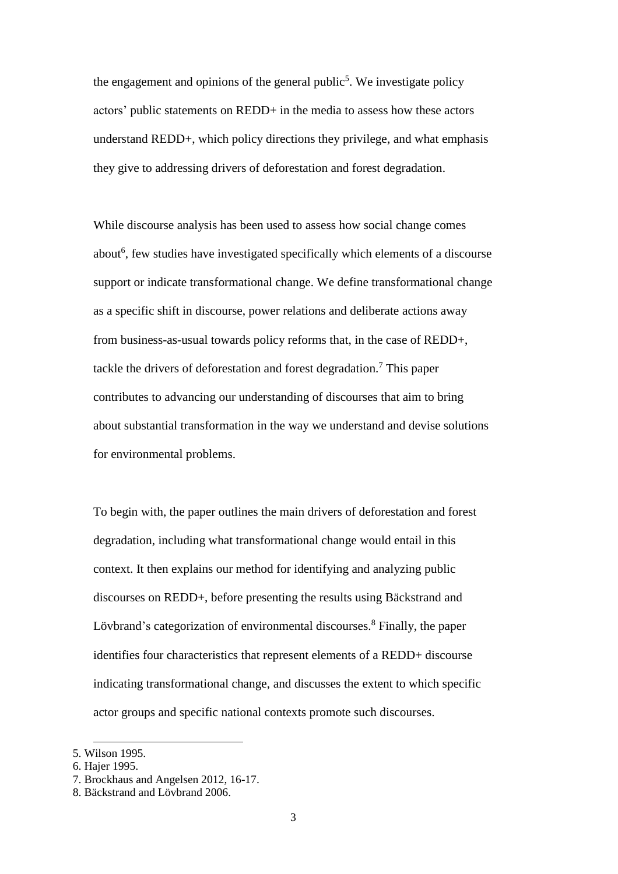the engagement and opinions of the general public<sup>5</sup>. We investigate policy actors' public statements on REDD+ in the media to assess how these actors understand REDD+, which policy directions they privilege, and what emphasis they give to addressing drivers of deforestation and forest degradation.

While discourse analysis has been used to assess how social change comes about<sup>6</sup>, few studies have investigated specifically which elements of a discourse support or indicate transformational change. We define transformational change as a specific shift in discourse, power relations and deliberate actions away from business-as-usual towards policy reforms that, in the case of REDD+, tackle the drivers of deforestation and forest degradation.<sup>7</sup> This paper contributes to advancing our understanding of discourses that aim to bring about substantial transformation in the way we understand and devise solutions for environmental problems.

To begin with, the paper outlines the main drivers of deforestation and forest degradation, including what transformational change would entail in this context. It then explains our method for identifying and analyzing public discourses on REDD+, before presenting the results using Bäckstrand and Lövbrand's categorization of environmental discourses.<sup>8</sup> Finally, the paper identifies four characteristics that represent elements of a REDD+ discourse indicating transformational change, and discusses the extent to which specific actor groups and specific national contexts promote such discourses.

<sup>5.</sup> Wilson 1995.

<sup>6.</sup> Hajer 1995.

<sup>7.</sup> Brockhaus and Angelsen 2012, 16-17.

<sup>8.</sup> Bäckstrand and Lövbrand 2006.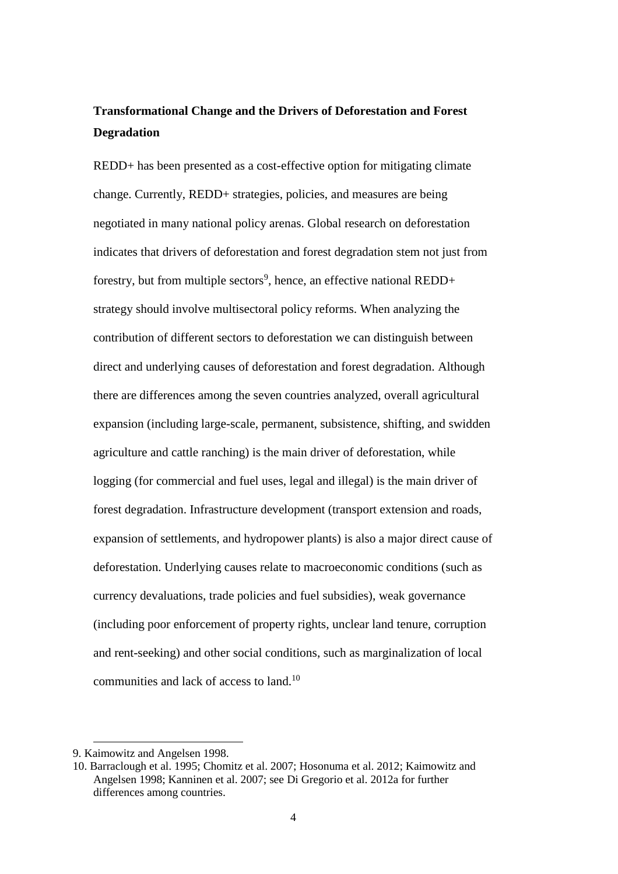## **Transformational Change and the Drivers of Deforestation and Forest Degradation**

REDD+ has been presented as a cost-effective option for mitigating climate change. Currently, REDD+ strategies, policies, and measures are being negotiated in many national policy arenas. Global research on deforestation indicates that drivers of deforestation and forest degradation stem not just from forestry, but from multiple sectors<sup>9</sup>, hence, an effective national REDD+ strategy should involve multisectoral policy reforms. When analyzing the contribution of different sectors to deforestation we can distinguish between direct and underlying causes of deforestation and forest degradation. Although there are differences among the seven countries analyzed, overall agricultural expansion (including large-scale, permanent, subsistence, shifting, and swidden agriculture and cattle ranching) is the main driver of deforestation, while logging (for commercial and fuel uses, legal and illegal) is the main driver of forest degradation. Infrastructure development (transport extension and roads, expansion of settlements, and hydropower plants) is also a major direct cause of deforestation. Underlying causes relate to macroeconomic conditions (such as currency devaluations, trade policies and fuel subsidies), weak governance (including poor enforcement of property rights, unclear land tenure, corruption and rent-seeking) and other social conditions, such as marginalization of local communities and lack of access to land.<sup>10</sup>

<sup>9.</sup> Kaimowitz and Angelsen 1998.

<sup>10.</sup> Barraclough et al. 1995; Chomitz et al. 2007; Hosonuma et al. 2012; Kaimowitz and Angelsen 1998; Kanninen et al. 2007; see Di Gregorio et al. 2012a for further differences among countries.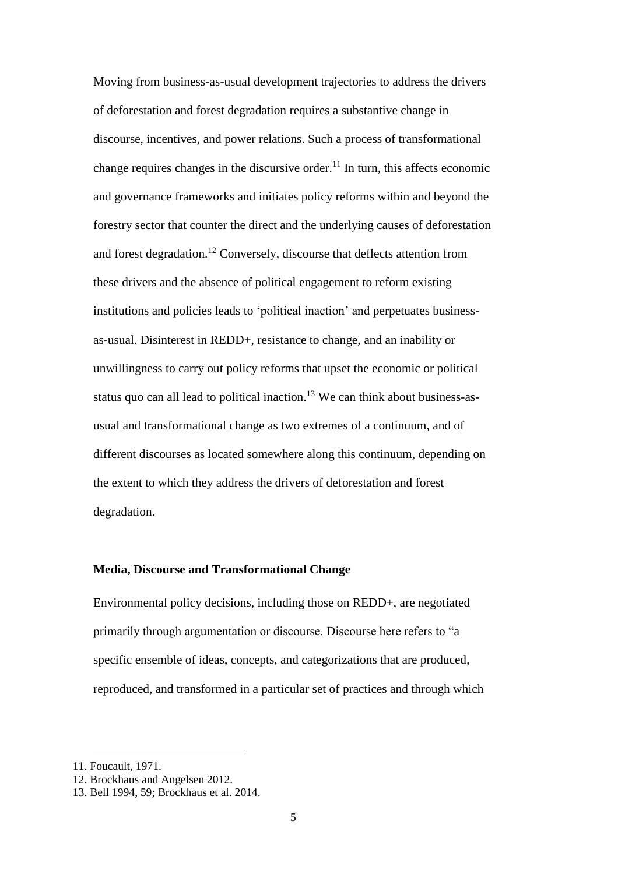Moving from business-as-usual development trajectories to address the drivers of deforestation and forest degradation requires a substantive change in discourse, incentives, and power relations. Such a process of transformational change requires changes in the discursive order.<sup>11</sup> In turn, this affects economic and governance frameworks and initiates policy reforms within and beyond the forestry sector that counter the direct and the underlying causes of deforestation and forest degradation.<sup>12</sup> Conversely, discourse that deflects attention from these drivers and the absence of political engagement to reform existing institutions and policies leads to 'political inaction' and perpetuates businessas-usual. Disinterest in REDD+, resistance to change, and an inability or unwillingness to carry out policy reforms that upset the economic or political status quo can all lead to political inaction.<sup>13</sup> We can think about business-asusual and transformational change as two extremes of a continuum, and of different discourses as located somewhere along this continuum, depending on the extent to which they address the drivers of deforestation and forest degradation.

#### **Media, Discourse and Transformational Change**

Environmental policy decisions, including those on REDD+, are negotiated primarily through argumentation or discourse. Discourse here refers to "a specific ensemble of ideas, concepts, and categorizations that are produced, reproduced, and transformed in a particular set of practices and through which

<sup>11.</sup> Foucault, 1971.

<sup>12.</sup> Brockhaus and Angelsen 2012.

<sup>13.</sup> Bell 1994, 59; Brockhaus et al. 2014.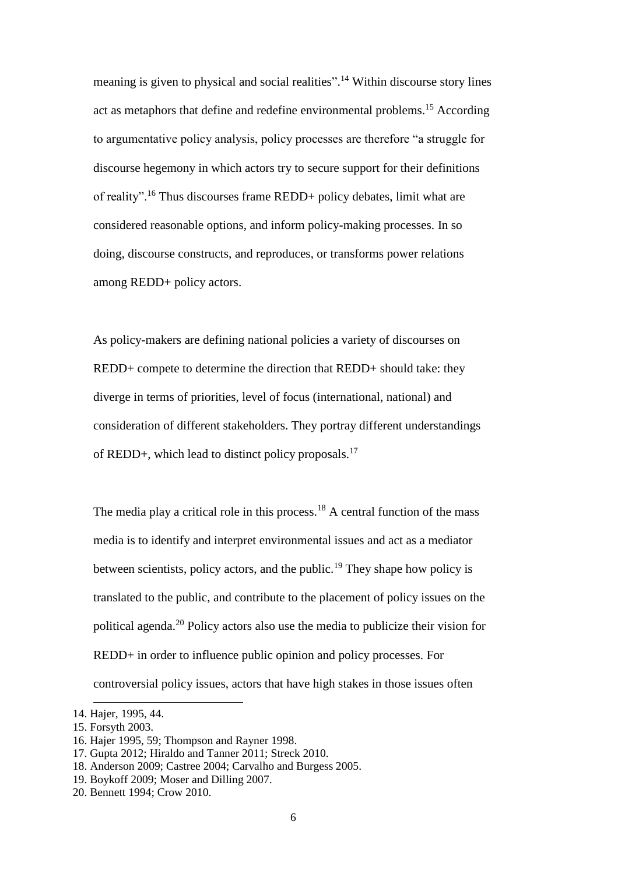meaning is given to physical and social realities".<sup>14</sup> Within discourse story lines act as metaphors that define and redefine environmental problems.<sup>15</sup> According to argumentative policy analysis, policy processes are therefore "a struggle for discourse hegemony in which actors try to secure support for their definitions of reality".<sup>16</sup> Thus discourses frame REDD+ policy debates, limit what are considered reasonable options, and inform policy-making processes. In so doing, discourse constructs, and reproduces, or transforms power relations among REDD+ policy actors.

As policy-makers are defining national policies a variety of discourses on REDD+ compete to determine the direction that REDD+ should take: they diverge in terms of priorities, level of focus (international, national) and consideration of different stakeholders. They portray different understandings of REDD+, which lead to distinct policy proposals.<sup>17</sup>

The media play a critical role in this process.<sup>18</sup> A central function of the mass media is to identify and interpret environmental issues and act as a mediator between scientists, policy actors, and the public.<sup>19</sup> They shape how policy is translated to the public, and contribute to the placement of policy issues on the political agenda.<sup>20</sup> Policy actors also use the media to publicize their vision for REDD+ in order to influence public opinion and policy processes. For controversial policy issues, actors that have high stakes in those issues often

<sup>14.</sup> Hajer, 1995, 44.

<sup>15.</sup> Forsyth 2003.

<sup>16.</sup> Hajer 1995, 59; Thompson and Rayner 1998.

<sup>17.</sup> Gupta 2012; Hiraldo and Tanner 2011; Streck 2010.

<sup>18.</sup> Anderson 2009; Castree 2004; Carvalho and Burgess 2005.

<sup>19.</sup> Boykoff 2009; Moser and Dilling 2007.

<sup>20.</sup> Bennett 1994; Crow 2010.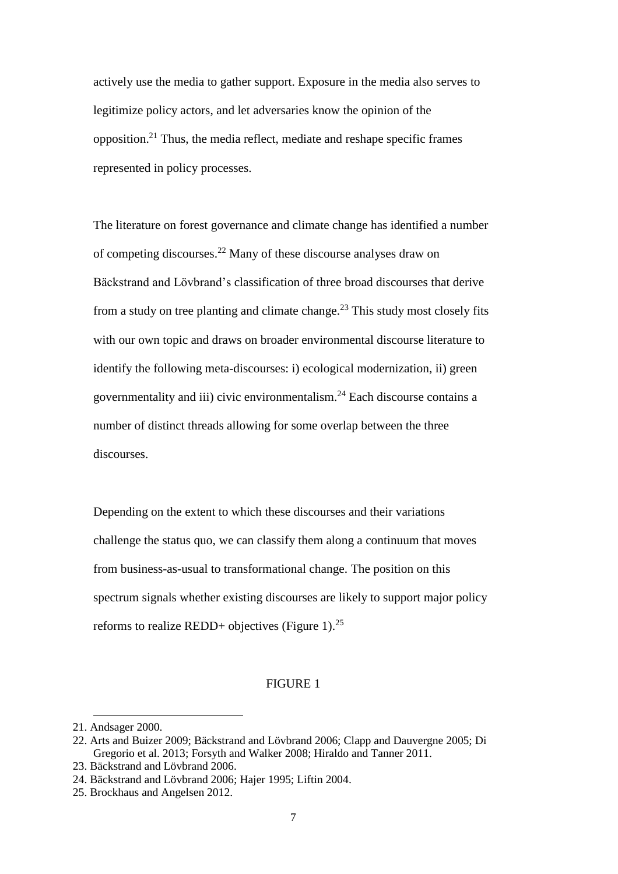actively use the media to gather support. Exposure in the media also serves to legitimize policy actors, and let adversaries know the opinion of the opposition.<sup>21</sup> Thus, the media reflect, mediate and reshape specific frames represented in policy processes.

The literature on forest governance and climate change has identified a number of competing discourses.<sup>22</sup> Many of these discourse analyses draw on Bäckstrand and Lövbrand's classification of three broad discourses that derive from a study on tree planting and climate change.<sup>23</sup> This study most closely fits with our own topic and draws on broader environmental discourse literature to identify the following meta-discourses: i) ecological modernization, ii) green governmentality and iii) civic environmentalism.<sup>24</sup> Each discourse contains a number of distinct threads allowing for some overlap between the three discourses.

Depending on the extent to which these discourses and their variations challenge the status quo, we can classify them along a continuum that moves from business-as-usual to transformational change. The position on this spectrum signals whether existing discourses are likely to support major policy reforms to realize REDD+ objectives (Figure 1).<sup>25</sup>

#### FIGURE 1

<sup>21.</sup> Andsager 2000.

<sup>22.</sup> Arts and Buizer 2009; Bäckstrand and Lövbrand 2006; Clapp and Dauvergne 2005; Di Gregorio et al. 2013; Forsyth and Walker 2008; Hiraldo and Tanner 2011.

<sup>23.</sup> Bäckstrand and Lövbrand 2006.

<sup>24.</sup> Bäckstrand and Lövbrand 2006; Hajer 1995; Liftin 2004.

<sup>25.</sup> Brockhaus and Angelsen 2012.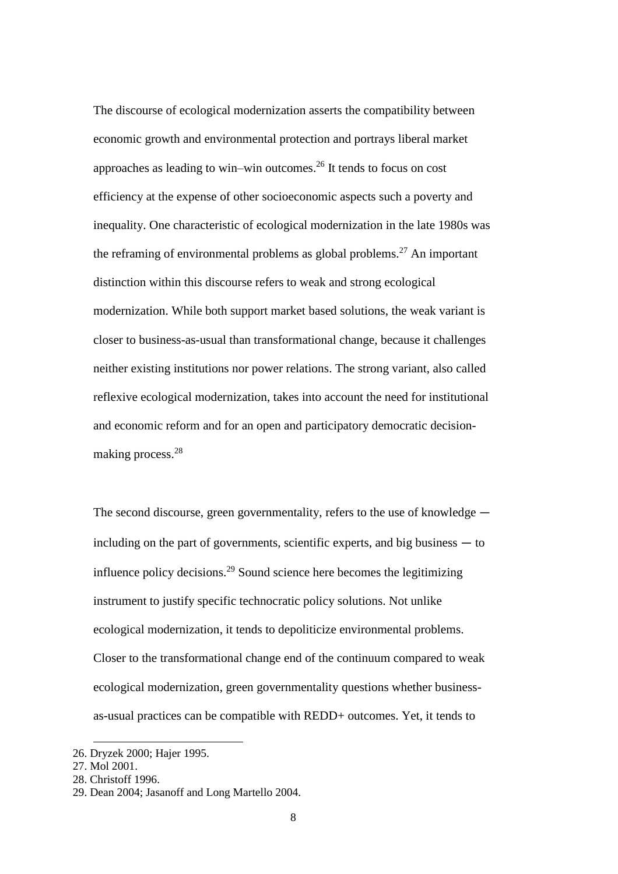The discourse of ecological modernization asserts the compatibility between economic growth and environmental protection and portrays liberal market approaches as leading to win–win outcomes.<sup>26</sup> It tends to focus on cost efficiency at the expense of other socioeconomic aspects such a poverty and inequality. One characteristic of ecological modernization in the late 1980s was the reframing of environmental problems as global problems.<sup>27</sup> An important distinction within this discourse refers to weak and strong ecological modernization. While both support market based solutions, the weak variant is closer to business-as-usual than transformational change, because it challenges neither existing institutions nor power relations. The strong variant, also called reflexive ecological modernization, takes into account the need for institutional and economic reform and for an open and participatory democratic decisionmaking process.<sup>28</sup>

The second discourse, green governmentality, refers to the use of knowledge  $$ including on the part of governments, scientific experts, and big business  $-$  to influence policy decisions.<sup>29</sup> Sound science here becomes the legitimizing instrument to justify specific technocratic policy solutions. Not unlike ecological modernization, it tends to depoliticize environmental problems. Closer to the transformational change end of the continuum compared to weak ecological modernization, green governmentality questions whether businessas-usual practices can be compatible with REDD+ outcomes. Yet, it tends to

<sup>26.</sup> Dryzek 2000; Hajer 1995.

<sup>27.</sup> Mol 2001.

<sup>28.</sup> Christoff 1996.

<sup>29.</sup> Dean 2004; Jasanoff and Long Martello 2004.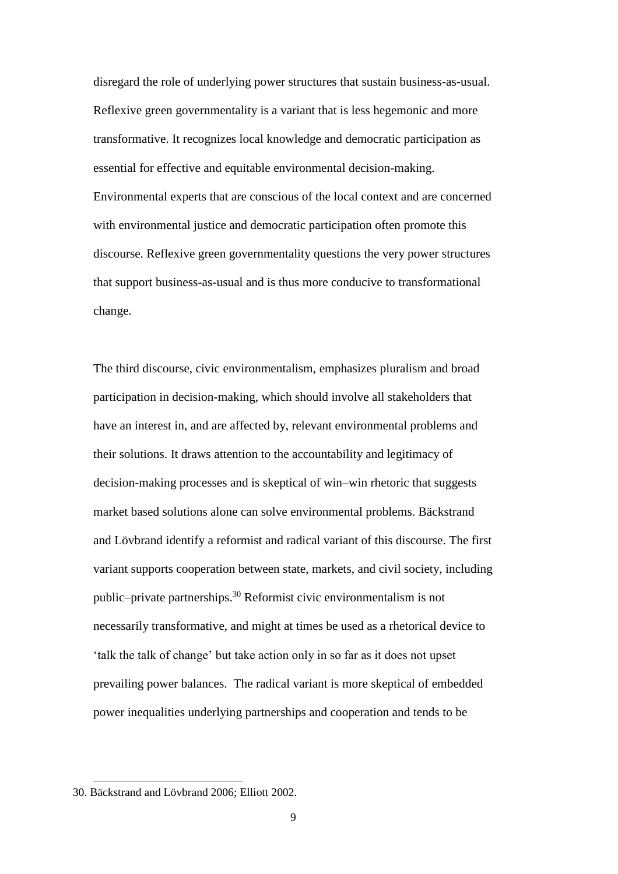disregard the role of underlying power structures that sustain business-as-usual. Reflexive green governmentality is a variant that is less hegemonic and more transformative. It recognizes local knowledge and democratic participation as essential for effective and equitable environmental decision-making. Environmental experts that are conscious of the local context and are concerned with environmental justice and democratic participation often promote this discourse. Reflexive green governmentality questions the very power structures that support business-as-usual and is thus more conducive to transformational change.

The third discourse, civic environmentalism, emphasizes pluralism and broad participation in decision-making, which should involve all stakeholders that have an interest in, and are affected by, relevant environmental problems and their solutions. It draws attention to the accountability and legitimacy of decision-making processes and is skeptical of win–win rhetoric that suggests market based solutions alone can solve environmental problems. Bäckstrand and Lövbrand identify a reformist and radical variant of this discourse. The first variant supports cooperation between state, markets, and civil society, including public–private partnerships.<sup>30</sup> Reformist civic environmentalism is not necessarily transformative, and might at times be used as a rhetorical device to 'talk the talk of change' but take action only in so far as it does not upset prevailing power balances. The radical variant is more skeptical of embedded power inequalities underlying partnerships and cooperation and tends to be

<sup>30.</sup> Bäckstrand and Lövbrand 2006; Elliott 2002.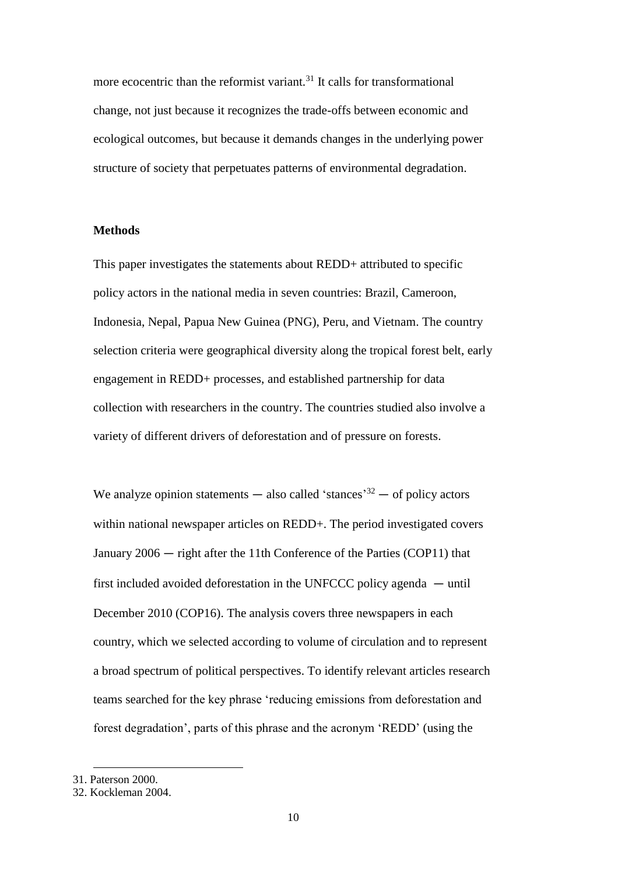more ecocentric than the reformist variant. $31$  It calls for transformational change, not just because it recognizes the trade-offs between economic and ecological outcomes, but because it demands changes in the underlying power structure of society that perpetuates patterns of environmental degradation.

#### **Methods**

This paper investigates the statements about REDD+ attributed to specific policy actors in the national media in seven countries: Brazil, Cameroon, Indonesia, Nepal, Papua New Guinea (PNG), Peru, and Vietnam. The country selection criteria were geographical diversity along the tropical forest belt, early engagement in REDD+ processes, and established partnership for data collection with researchers in the country. The countries studied also involve a variety of different drivers of deforestation and of pressure on forests.

We analyze opinion statements — also called 'stances'<sup>32</sup> — of policy actors within national newspaper articles on REDD+. The period investigated covers January  $2006 -$  right after the 11th Conference of the Parties (COP11) that first included avoided deforestation in the UNFCCC policy agenda  $-$  until December 2010 (COP16). The analysis covers three newspapers in each country, which we selected according to volume of circulation and to represent a broad spectrum of political perspectives. To identify relevant articles research teams searched for the key phrase 'reducing emissions from deforestation and forest degradation', parts of this phrase and the acronym 'REDD' (using the

31. Paterson 2000.

 $\ddot{\phantom{a}}$ 

<sup>32.</sup> Kockleman 2004.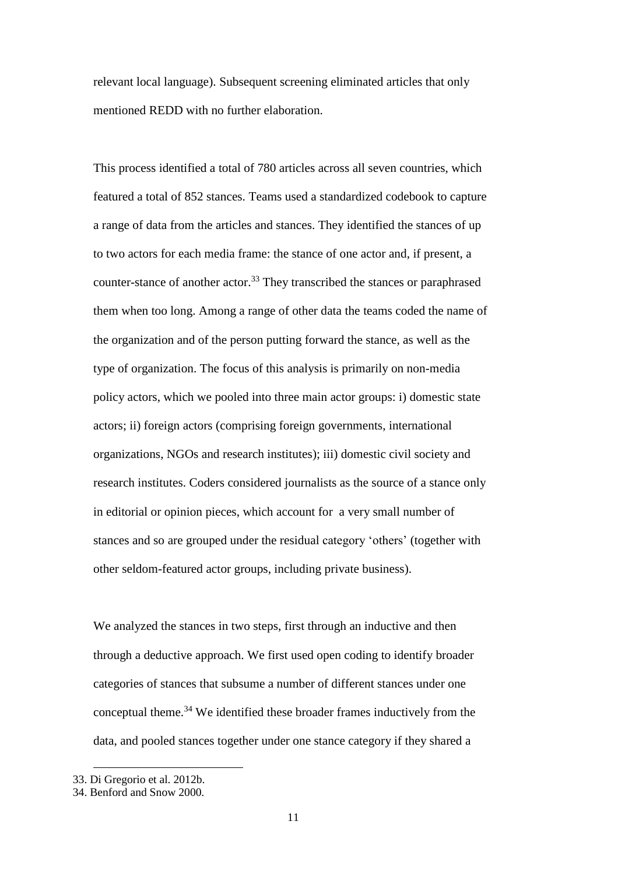relevant local language). Subsequent screening eliminated articles that only mentioned REDD with no further elaboration.

This process identified a total of 780 articles across all seven countries, which featured a total of 852 stances. Teams used a standardized codebook to capture a range of data from the articles and stances. They identified the stances of up to two actors for each media frame: the stance of one actor and, if present, a counter-stance of another actor.<sup>33</sup> They transcribed the stances or paraphrased them when too long. Among a range of other data the teams coded the name of the organization and of the person putting forward the stance, as well as the type of organization. The focus of this analysis is primarily on non-media policy actors, which we pooled into three main actor groups: i) domestic state actors; ii) foreign actors (comprising foreign governments, international organizations, NGOs and research institutes); iii) domestic civil society and research institutes. Coders considered journalists as the source of a stance only in editorial or opinion pieces, which account for a very small number of stances and so are grouped under the residual category 'others' (together with other seldom-featured actor groups, including private business).

We analyzed the stances in two steps, first through an inductive and then through a deductive approach. We first used open coding to identify broader categories of stances that subsume a number of different stances under one conceptual theme.<sup>34</sup> We identified these broader frames inductively from the data, and pooled stances together under one stance category if they shared a

 $\ddot{\phantom{a}}$ 

<sup>33.</sup> Di Gregorio et al. 2012b.

<sup>34.</sup> Benford and Snow 2000.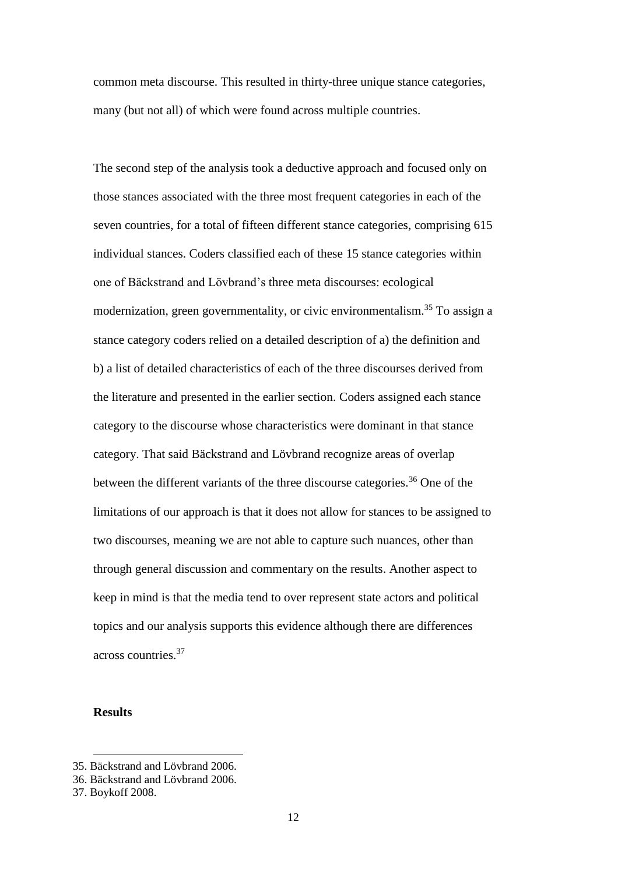common meta discourse. This resulted in thirty-three unique stance categories, many (but not all) of which were found across multiple countries.

The second step of the analysis took a deductive approach and focused only on those stances associated with the three most frequent categories in each of the seven countries, for a total of fifteen different stance categories, comprising 615 individual stances. Coders classified each of these 15 stance categories within one of Bäckstrand and Lövbrand's three meta discourses: ecological modernization, green governmentality, or civic environmentalism.<sup>35</sup> To assign a stance category coders relied on a detailed description of a) the definition and b) a list of detailed characteristics of each of the three discourses derived from the literature and presented in the earlier section. Coders assigned each stance category to the discourse whose characteristics were dominant in that stance category. That said Bäckstrand and Lövbrand recognize areas of overlap between the different variants of the three discourse categories.<sup>36</sup> One of the limitations of our approach is that it does not allow for stances to be assigned to two discourses, meaning we are not able to capture such nuances, other than through general discussion and commentary on the results. Another aspect to keep in mind is that the media tend to over represent state actors and political topics and our analysis supports this evidence although there are differences across countries.<sup>37</sup>

#### **Results**

<sup>35.</sup> Bäckstrand and Lövbrand 2006.

<sup>36.</sup> Bäckstrand and Lövbrand 2006.

<sup>37.</sup> Boykoff 2008.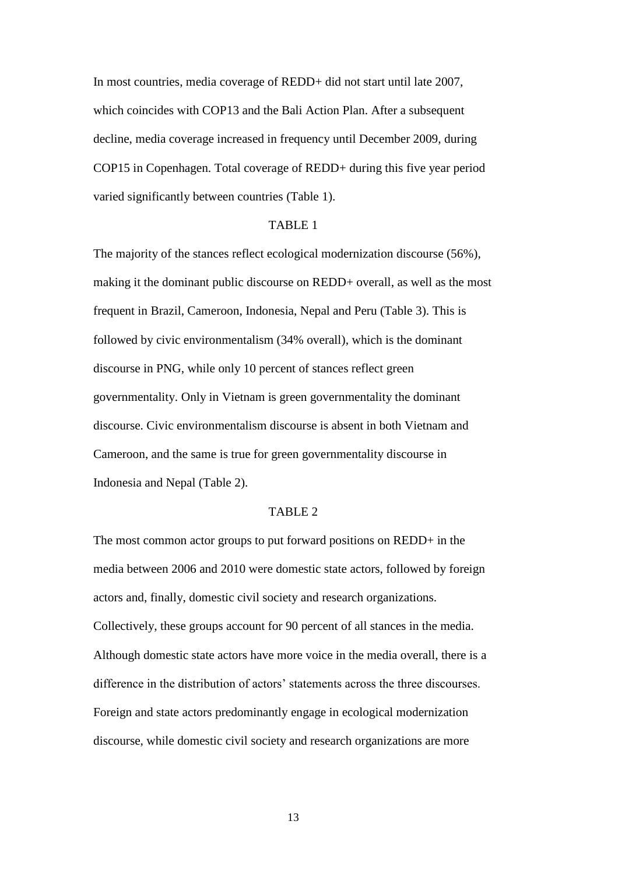In most countries, media coverage of REDD+ did not start until late 2007, which coincides with COP13 and the Bali Action Plan. After a subsequent decline, media coverage increased in frequency until December 2009, during COP15 in Copenhagen. Total coverage of REDD+ during this five year period varied significantly between countries (Table 1).

#### TABLE 1

The majority of the stances reflect ecological modernization discourse (56%), making it the dominant public discourse on REDD+ overall, as well as the most frequent in Brazil, Cameroon, Indonesia, Nepal and Peru (Table 3). This is followed by civic environmentalism (34% overall), which is the dominant discourse in PNG, while only 10 percent of stances reflect green governmentality. Only in Vietnam is green governmentality the dominant discourse. Civic environmentalism discourse is absent in both Vietnam and Cameroon, and the same is true for green governmentality discourse in Indonesia and Nepal (Table 2).

#### TABLE 2

The most common actor groups to put forward positions on REDD+ in the media between 2006 and 2010 were domestic state actors, followed by foreign actors and, finally, domestic civil society and research organizations. Collectively, these groups account for 90 percent of all stances in the media. Although domestic state actors have more voice in the media overall, there is a difference in the distribution of actors' statements across the three discourses. Foreign and state actors predominantly engage in ecological modernization discourse, while domestic civil society and research organizations are more

13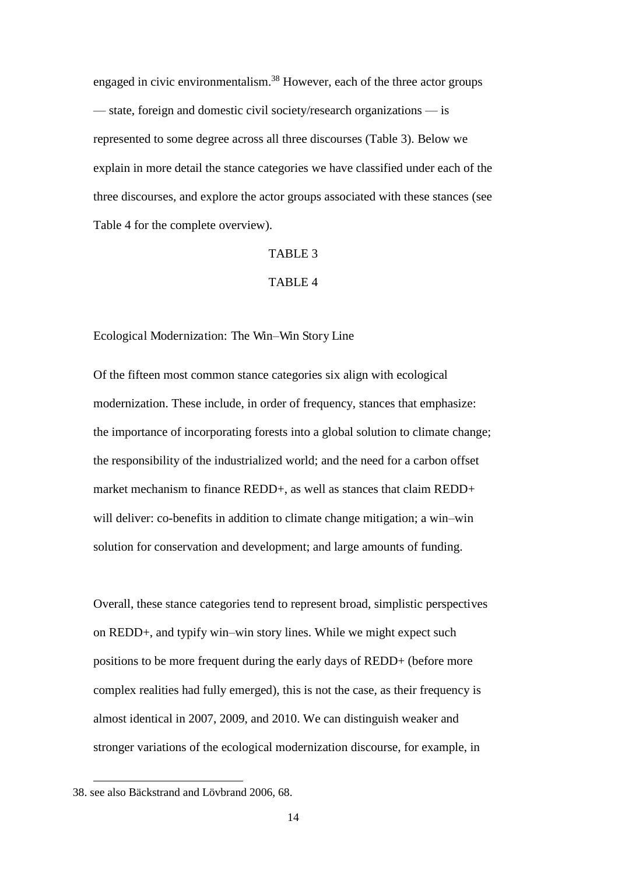engaged in civic environmentalism.<sup>38</sup> However, each of the three actor groups — state, foreign and domestic civil society/research organizations — is represented to some degree across all three discourses (Table 3). Below we explain in more detail the stance categories we have classified under each of the three discourses, and explore the actor groups associated with these stances (see Table 4 for the complete overview).

#### TABLE 3

#### TABLE 4

#### Ecological Modernization: The Win*–*Win Story Line

Of the fifteen most common stance categories six align with ecological modernization. These include, in order of frequency, stances that emphasize: the importance of incorporating forests into a global solution to climate change; the responsibility of the industrialized world; and the need for a carbon offset market mechanism to finance REDD+, as well as stances that claim REDD+ will deliver: co-benefits in addition to climate change mitigation; a win–win solution for conservation and development; and large amounts of funding.

Overall, these stance categories tend to represent broad, simplistic perspectives on REDD+, and typify win–win story lines. While we might expect such positions to be more frequent during the early days of REDD+ (before more complex realities had fully emerged), this is not the case, as their frequency is almost identical in 2007, 2009, and 2010. We can distinguish weaker and stronger variations of the ecological modernization discourse, for example, in

<sup>38.</sup> see also Bäckstrand and Lövbrand 2006, 68.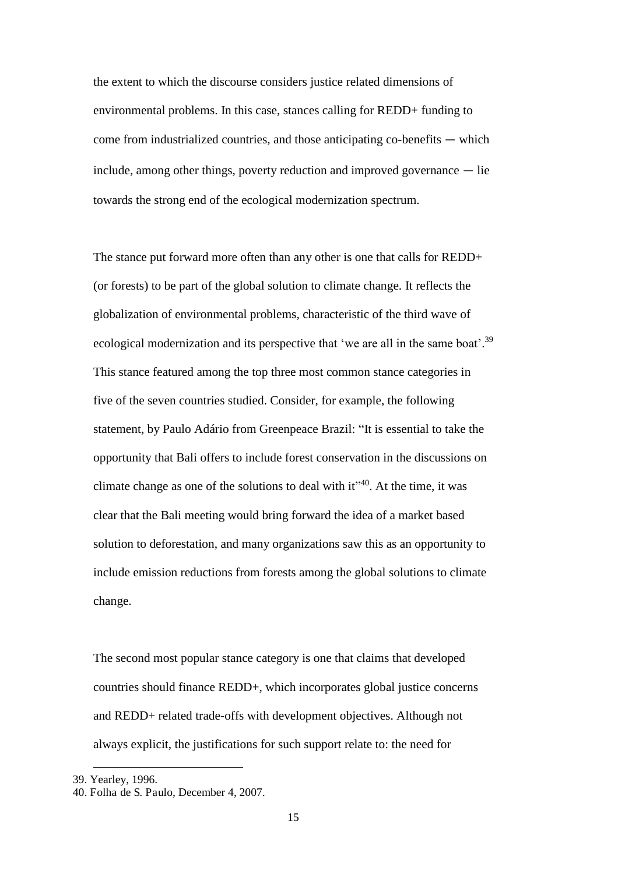the extent to which the discourse considers justice related dimensions of environmental problems. In this case, stances calling for REDD+ funding to come from industrialized countries, and those anticipating co-benefits  $-$  which include, among other things, poverty reduction and improved governance  $-$  lie towards the strong end of the ecological modernization spectrum.

The stance put forward more often than any other is one that calls for REDD+ (or forests) to be part of the global solution to climate change. It reflects the globalization of environmental problems, characteristic of the third wave of ecological modernization and its perspective that 'we are all in the same boat'.<sup>39</sup> This stance featured among the top three most common stance categories in five of the seven countries studied. Consider, for example, the following statement, by Paulo Adário from Greenpeace Brazil: "It is essential to take the opportunity that Bali offers to include forest conservation in the discussions on climate change as one of the solutions to deal with  $it^{\prime\prime 40}$ . At the time, it was clear that the Bali meeting would bring forward the idea of a market based solution to deforestation, and many organizations saw this as an opportunity to include emission reductions from forests among the global solutions to climate change.

The second most popular stance category is one that claims that developed countries should finance REDD+, which incorporates global justice concerns and REDD+ related trade-offs with development objectives. Although not always explicit, the justifications for such support relate to: the need for

 $\ddot{\phantom{a}}$ 

<sup>39.</sup> Yearley, 1996.

<sup>40.</sup> Folha de S. Paulo, December 4, 2007.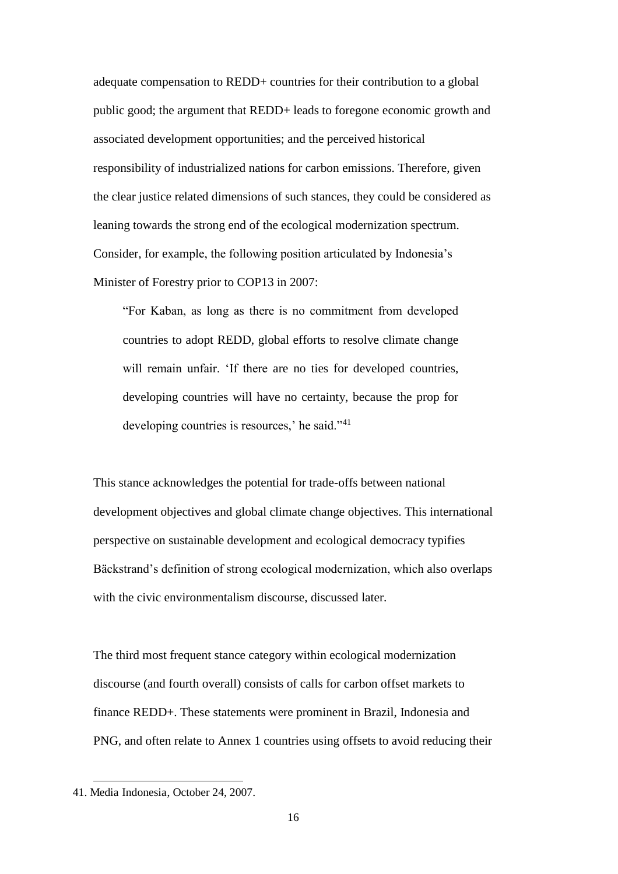adequate compensation to REDD+ countries for their contribution to a global public good; the argument that REDD+ leads to foregone economic growth and associated development opportunities; and the perceived historical responsibility of industrialized nations for carbon emissions. Therefore, given the clear justice related dimensions of such stances, they could be considered as leaning towards the strong end of the ecological modernization spectrum. Consider, for example, the following position articulated by Indonesia's Minister of Forestry prior to COP13 in 2007:

"For Kaban, as long as there is no commitment from developed countries to adopt REDD, global efforts to resolve climate change will remain unfair. 'If there are no ties for developed countries, developing countries will have no certainty, because the prop for developing countries is resources,' he said."<sup>41</sup>

This stance acknowledges the potential for trade-offs between national development objectives and global climate change objectives. This international perspective on sustainable development and ecological democracy typifies Bäckstrand's definition of strong ecological modernization, which also overlaps with the civic environmentalism discourse, discussed later.

The third most frequent stance category within ecological modernization discourse (and fourth overall) consists of calls for carbon offset markets to finance REDD+. These statements were prominent in Brazil, Indonesia and PNG, and often relate to Annex 1 countries using offsets to avoid reducing their

<sup>41.</sup> Media Indonesia, October 24, 2007.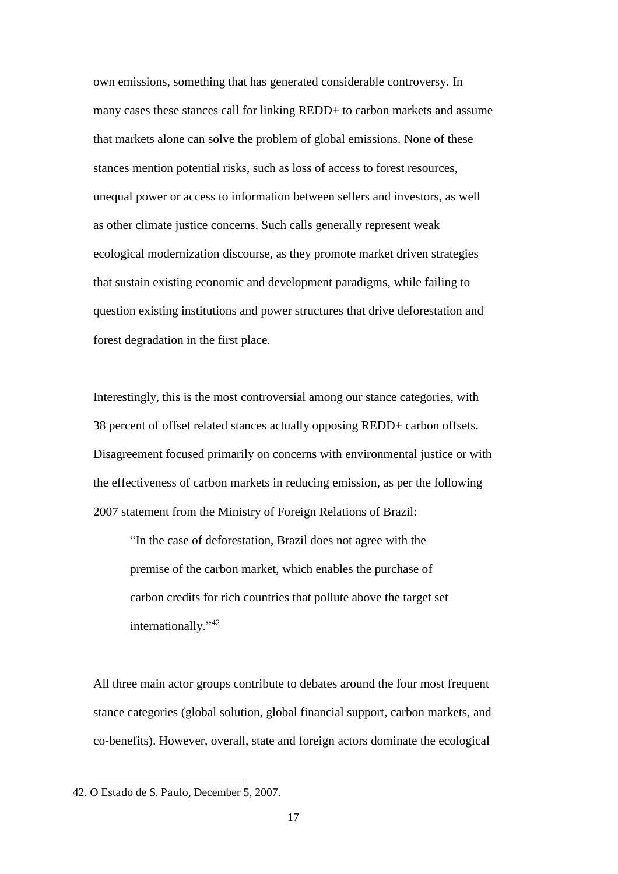own emissions, something that has generated considerable controversy. In many cases these stances call for linking REDD+ to carbon markets and assume that markets alone can solve the problem of global emissions. None of these stances mention potential risks, such as loss of access to forest resources, unequal power or access to information between sellers and investors, as well as other climate justice concerns. Such calls generally represent weak ecological modernization discourse, as they promote market driven strategies that sustain existing economic and development paradigms, while failing to question existing institutions and power structures that drive deforestation and forest degradation in the first place.

Interestingly, this is the most controversial among our stance categories, with 38 percent of offset related stances actually opposing REDD+ carbon offsets. Disagreement focused primarily on concerns with environmental justice or with the effectiveness of carbon markets in reducing emission, as per the following 2007 statement from the Ministry of Foreign Relations of Brazil:

"In the case of deforestation, Brazil does not agree with the premise of the carbon market, which enables the purchase of carbon credits for rich countries that pollute above the target set internationally."<sup>42</sup>

All three main actor groups contribute to debates around the four most frequent stance categories (global solution, global financial support, carbon markets, and co-benefits). However, overall, state and foreign actors dominate the ecological

 $\overline{a}$ 42. O Estado de S. Paulo, December 5, 2007.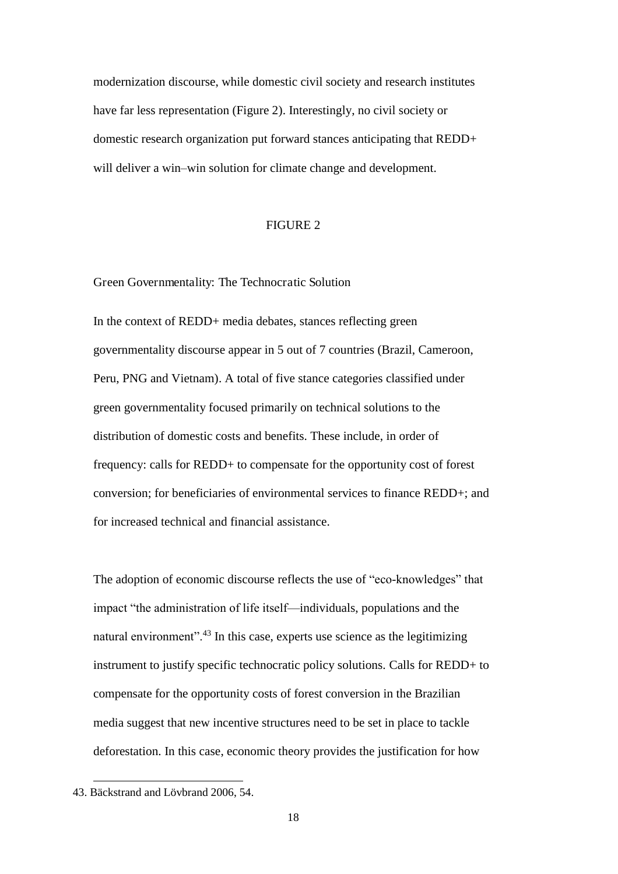modernization discourse, while domestic civil society and research institutes have far less representation (Figure 2). Interestingly, no civil society or domestic research organization put forward stances anticipating that REDD+ will deliver a win–win solution for climate change and development.

#### FIGURE 2

Green Governmentality: The Technocratic Solution

In the context of REDD+ media debates, stances reflecting green governmentality discourse appear in 5 out of 7 countries (Brazil, Cameroon, Peru, PNG and Vietnam). A total of five stance categories classified under green governmentality focused primarily on technical solutions to the distribution of domestic costs and benefits. These include, in order of frequency: calls for REDD+ to compensate for the opportunity cost of forest conversion; for beneficiaries of environmental services to finance REDD+; and for increased technical and financial assistance.

The adoption of economic discourse reflects the use of "eco-knowledges" that impact "the administration of life itself—individuals, populations and the natural environment".<sup>43</sup> In this case, experts use science as the legitimizing instrument to justify specific technocratic policy solutions. Calls for REDD+ to compensate for the opportunity costs of forest conversion in the Brazilian media suggest that new incentive structures need to be set in place to tackle deforestation. In this case, economic theory provides the justification for how

<sup>43.</sup> Bäckstrand and Lövbrand 2006, 54.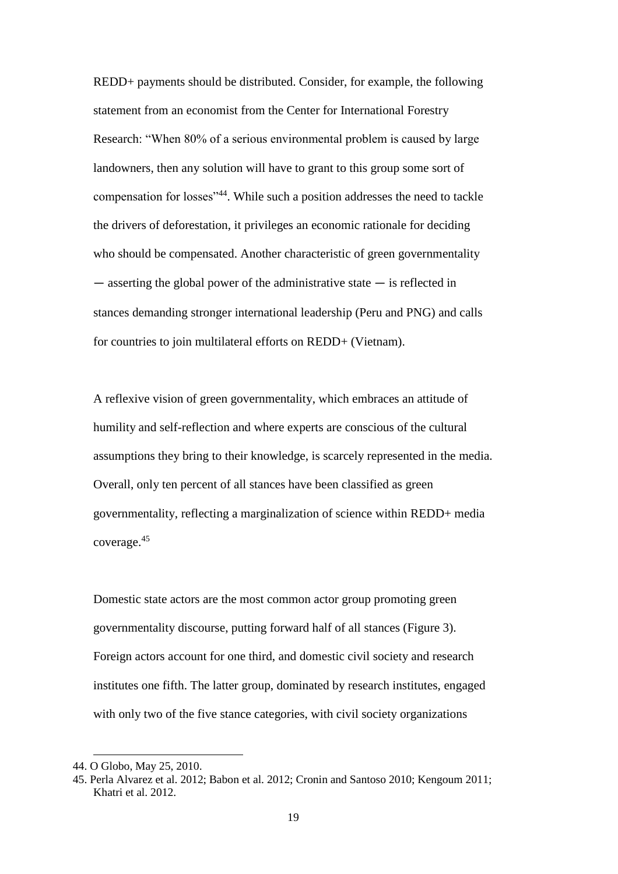REDD+ payments should be distributed. Consider, for example, the following statement from an economist from the Center for International Forestry Research: "When 80% of a serious environmental problem is caused by large landowners, then any solution will have to grant to this group some sort of compensation for losses"<sup>44</sup>. While such a position addresses the need to tackle the drivers of deforestation, it privileges an economic rationale for deciding who should be compensated. Another characteristic of green governmentality  $-$  asserting the global power of the administrative state  $-$  is reflected in stances demanding stronger international leadership (Peru and PNG) and calls for countries to join multilateral efforts on REDD+ (Vietnam).

A reflexive vision of green governmentality, which embraces an attitude of humility and self-reflection and where experts are conscious of the cultural assumptions they bring to their knowledge, is scarcely represented in the media. Overall, only ten percent of all stances have been classified as green governmentality, reflecting a marginalization of science within REDD+ media coverage.<sup>45</sup>

Domestic state actors are the most common actor group promoting green governmentality discourse, putting forward half of all stances (Figure 3). Foreign actors account for one third, and domestic civil society and research institutes one fifth. The latter group, dominated by research institutes, engaged with only two of the five stance categories, with civil society organizations

<sup>44.</sup> O Globo, May 25, 2010.

<sup>45.</sup> Perla Alvarez et al. 2012; Babon et al. 2012; Cronin and Santoso 2010; Kengoum 2011; Khatri et al. 2012.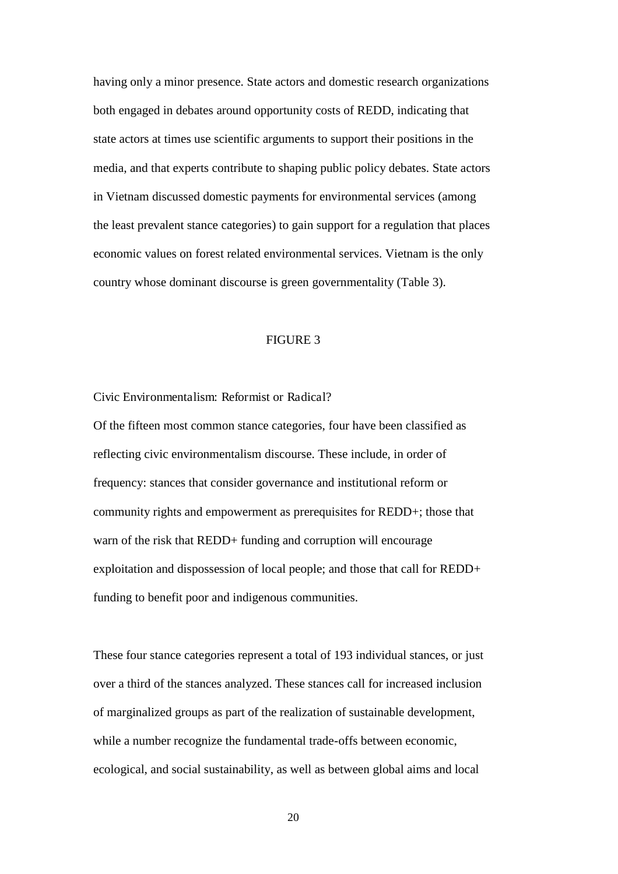having only a minor presence. State actors and domestic research organizations both engaged in debates around opportunity costs of REDD, indicating that state actors at times use scientific arguments to support their positions in the media, and that experts contribute to shaping public policy debates. State actors in Vietnam discussed domestic payments for environmental services (among the least prevalent stance categories) to gain support for a regulation that places economic values on forest related environmental services. Vietnam is the only country whose dominant discourse is green governmentality (Table 3).

#### FIGURE 3

Civic Environmentalism: Reformist or Radical?

Of the fifteen most common stance categories, four have been classified as reflecting civic environmentalism discourse. These include, in order of frequency: stances that consider governance and institutional reform or community rights and empowerment as prerequisites for REDD+; those that warn of the risk that REDD+ funding and corruption will encourage exploitation and dispossession of local people; and those that call for REDD+ funding to benefit poor and indigenous communities.

These four stance categories represent a total of 193 individual stances, or just over a third of the stances analyzed. These stances call for increased inclusion of marginalized groups as part of the realization of sustainable development, while a number recognize the fundamental trade-offs between economic, ecological, and social sustainability, as well as between global aims and local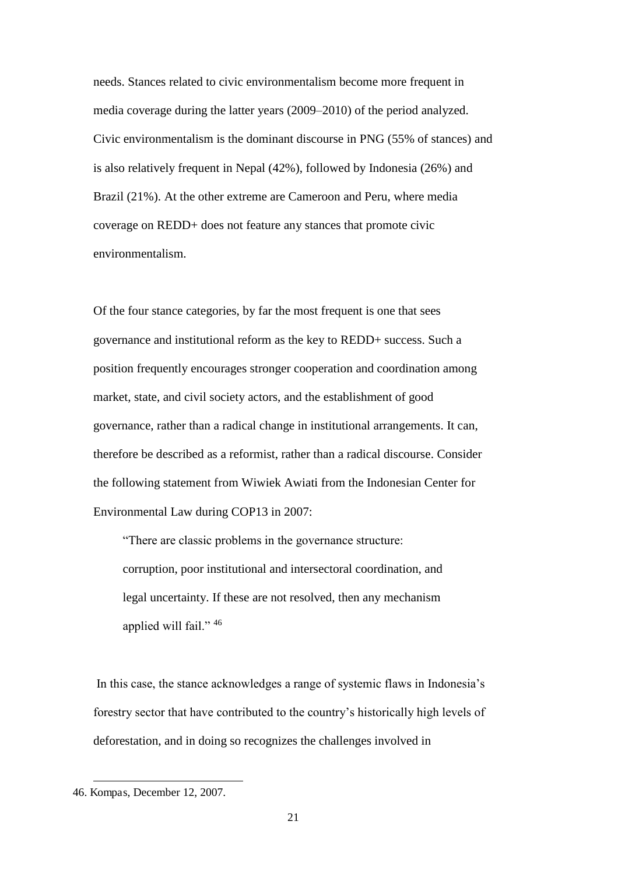needs. Stances related to civic environmentalism become more frequent in media coverage during the latter years (2009–2010) of the period analyzed. Civic environmentalism is the dominant discourse in PNG (55% of stances) and is also relatively frequent in Nepal (42%), followed by Indonesia (26%) and Brazil (21%). At the other extreme are Cameroon and Peru, where media coverage on REDD+ does not feature any stances that promote civic environmentalism.

Of the four stance categories, by far the most frequent is one that sees governance and institutional reform as the key to REDD+ success. Such a position frequently encourages stronger cooperation and coordination among market, state, and civil society actors, and the establishment of good governance, rather than a radical change in institutional arrangements. It can, therefore be described as a reformist, rather than a radical discourse. Consider the following statement from Wiwiek Awiati from the Indonesian Center for Environmental Law during COP13 in 2007:

"There are classic problems in the governance structure: corruption, poor institutional and intersectoral coordination, and legal uncertainty. If these are not resolved, then any mechanism applied will fail." <sup>46</sup>

 In this case, the stance acknowledges a range of systemic flaws in Indonesia's forestry sector that have contributed to the country's historically high levels of deforestation, and in doing so recognizes the challenges involved in

<sup>46.</sup> Kompas, December 12, 2007.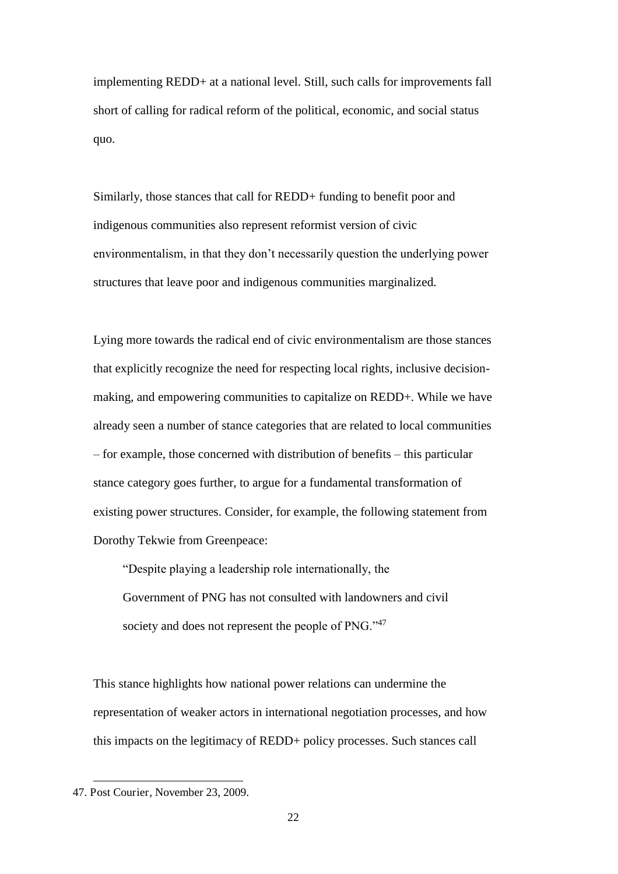implementing REDD+ at a national level. Still, such calls for improvements fall short of calling for radical reform of the political, economic, and social status quo.

Similarly, those stances that call for REDD+ funding to benefit poor and indigenous communities also represent reformist version of civic environmentalism, in that they don't necessarily question the underlying power structures that leave poor and indigenous communities marginalized.

Lying more towards the radical end of civic environmentalism are those stances that explicitly recognize the need for respecting local rights, inclusive decisionmaking, and empowering communities to capitalize on REDD+. While we have already seen a number of stance categories that are related to local communities – for example, those concerned with distribution of benefits – this particular stance category goes further, to argue for a fundamental transformation of existing power structures. Consider, for example, the following statement from Dorothy Tekwie from Greenpeace:

"Despite playing a leadership role internationally, the Government of PNG has not consulted with landowners and civil society and does not represent the people of PNG."<sup>47</sup>

This stance highlights how national power relations can undermine the representation of weaker actors in international negotiation processes, and how this impacts on the legitimacy of REDD+ policy processes. Such stances call

<sup>47.</sup> Post Courier, November 23, 2009.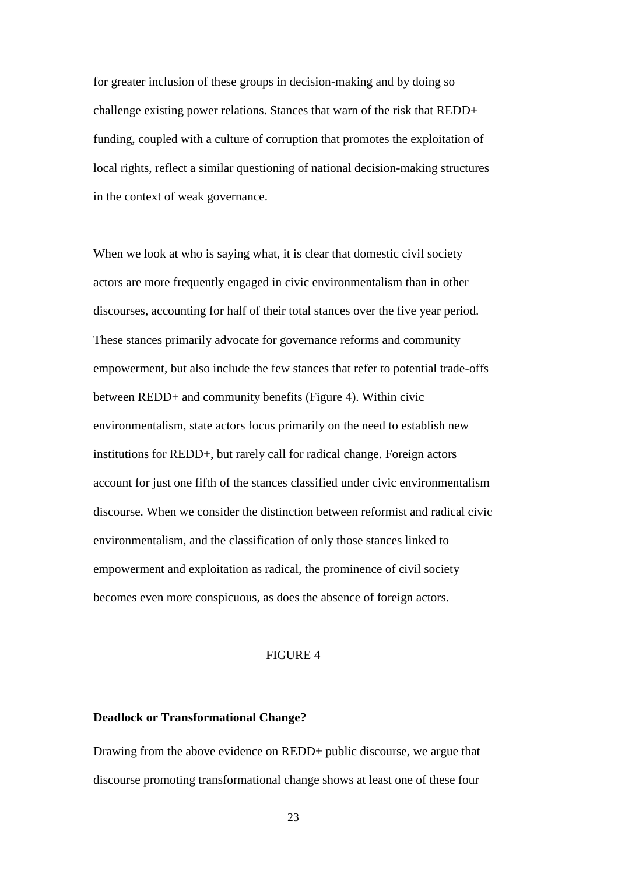for greater inclusion of these groups in decision-making and by doing so challenge existing power relations. Stances that warn of the risk that REDD+ funding, coupled with a culture of corruption that promotes the exploitation of local rights, reflect a similar questioning of national decision-making structures in the context of weak governance.

When we look at who is saying what, it is clear that domestic civil society actors are more frequently engaged in civic environmentalism than in other discourses, accounting for half of their total stances over the five year period. These stances primarily advocate for governance reforms and community empowerment, but also include the few stances that refer to potential trade-offs between REDD+ and community benefits (Figure 4). Within civic environmentalism, state actors focus primarily on the need to establish new institutions for REDD+, but rarely call for radical change. Foreign actors account for just one fifth of the stances classified under civic environmentalism discourse. When we consider the distinction between reformist and radical civic environmentalism, and the classification of only those stances linked to empowerment and exploitation as radical, the prominence of civil society becomes even more conspicuous, as does the absence of foreign actors.

#### FIGURE 4

#### **Deadlock or Transformational Change?**

Drawing from the above evidence on REDD+ public discourse, we argue that discourse promoting transformational change shows at least one of these four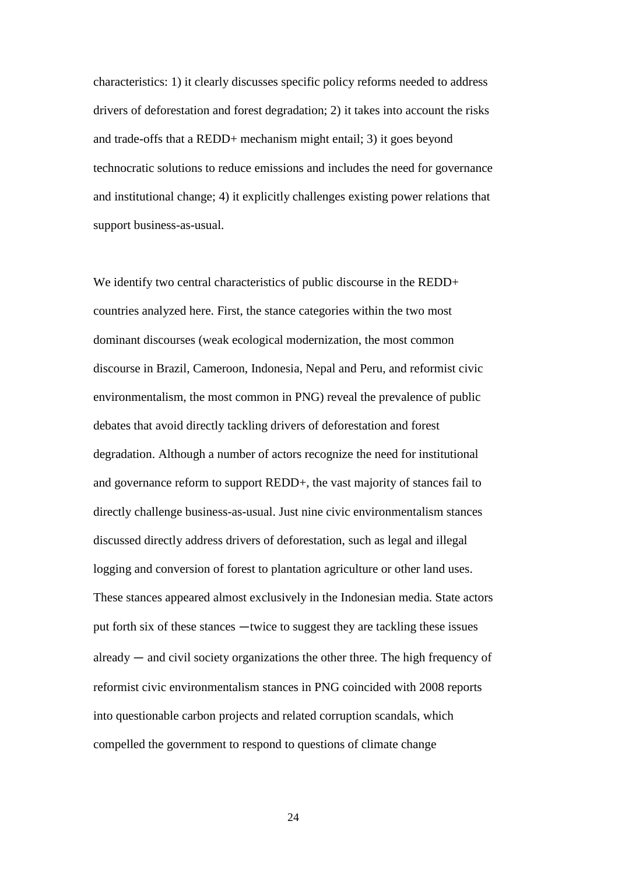characteristics: 1) it clearly discusses specific policy reforms needed to address drivers of deforestation and forest degradation; 2) it takes into account the risks and trade-offs that a REDD+ mechanism might entail; 3) it goes beyond technocratic solutions to reduce emissions and includes the need for governance and institutional change; 4) it explicitly challenges existing power relations that support business-as-usual.

We identify two central characteristics of public discourse in the REDD+ countries analyzed here. First, the stance categories within the two most dominant discourses (weak ecological modernization, the most common discourse in Brazil, Cameroon, Indonesia, Nepal and Peru, and reformist civic environmentalism, the most common in PNG) reveal the prevalence of public debates that avoid directly tackling drivers of deforestation and forest degradation. Although a number of actors recognize the need for institutional and governance reform to support REDD+, the vast majority of stances fail to directly challenge business-as-usual. Just nine civic environmentalism stances discussed directly address drivers of deforestation, such as legal and illegal logging and conversion of forest to plantation agriculture or other land uses. These stances appeared almost exclusively in the Indonesian media. State actors put forth six of these stances —twice to suggest they are tackling these issues  $\alpha$  already  $\alpha$  and civil society organizations the other three. The high frequency of reformist civic environmentalism stances in PNG coincided with 2008 reports into questionable carbon projects and related corruption scandals, which compelled the government to respond to questions of climate change

24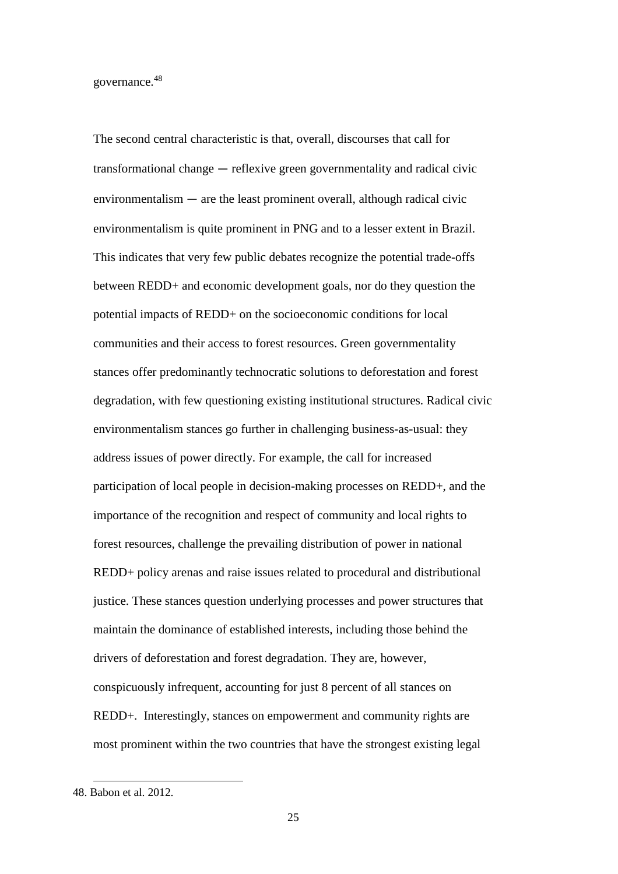governance.<sup>48</sup>

The second central characteristic is that, overall, discourses that call for  $transformational change - reflexive green governmentality and radical civic$  $e$ nvironmentalism  $-$  are the least prominent overall, although radical civic environmentalism is quite prominent in PNG and to a lesser extent in Brazil. This indicates that very few public debates recognize the potential trade-offs between REDD+ and economic development goals, nor do they question the potential impacts of REDD+ on the socioeconomic conditions for local communities and their access to forest resources. Green governmentality stances offer predominantly technocratic solutions to deforestation and forest degradation, with few questioning existing institutional structures. Radical civic environmentalism stances go further in challenging business-as-usual: they address issues of power directly. For example, the call for increased participation of local people in decision-making processes on REDD+, and the importance of the recognition and respect of community and local rights to forest resources, challenge the prevailing distribution of power in national REDD+ policy arenas and raise issues related to procedural and distributional justice. These stances question underlying processes and power structures that maintain the dominance of established interests, including those behind the drivers of deforestation and forest degradation. They are, however, conspicuously infrequent, accounting for just 8 percent of all stances on REDD+. Interestingly, stances on empowerment and community rights are most prominent within the two countries that have the strongest existing legal

<sup>48.</sup> Babon et al. 2012.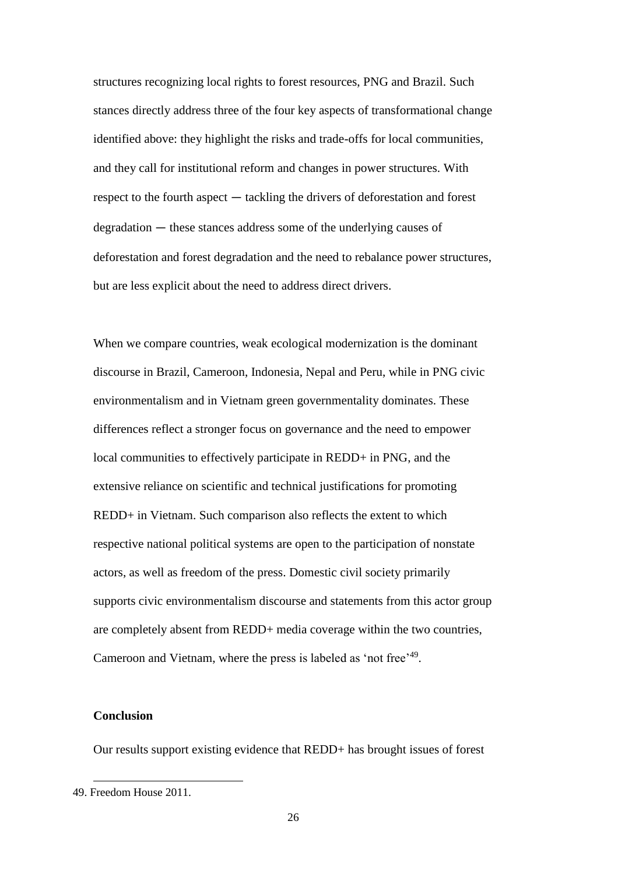structures recognizing local rights to forest resources, PNG and Brazil. Such stances directly address three of the four key aspects of transformational change identified above: they highlight the risks and trade-offs for local communities, and they call for institutional reform and changes in power structures. With  $r$ respect to the fourth aspect  $-$  tackling the drivers of deforestation and forest  $degradation$  – these stances address some of the underlying causes of deforestation and forest degradation and the need to rebalance power structures, but are less explicit about the need to address direct drivers.

When we compare countries, weak ecological modernization is the dominant discourse in Brazil, Cameroon, Indonesia, Nepal and Peru, while in PNG civic environmentalism and in Vietnam green governmentality dominates. These differences reflect a stronger focus on governance and the need to empower local communities to effectively participate in REDD+ in PNG, and the extensive reliance on scientific and technical justifications for promoting REDD+ in Vietnam. Such comparison also reflects the extent to which respective national political systems are open to the participation of nonstate actors, as well as freedom of the press. Domestic civil society primarily supports civic environmentalism discourse and statements from this actor group are completely absent from REDD+ media coverage within the two countries, Cameroon and Vietnam, where the press is labeled as 'not free'<sup>49</sup>.

#### **Conclusion**

Our results support existing evidence that REDD+ has brought issues of forest

<sup>49.</sup> Freedom House 2011.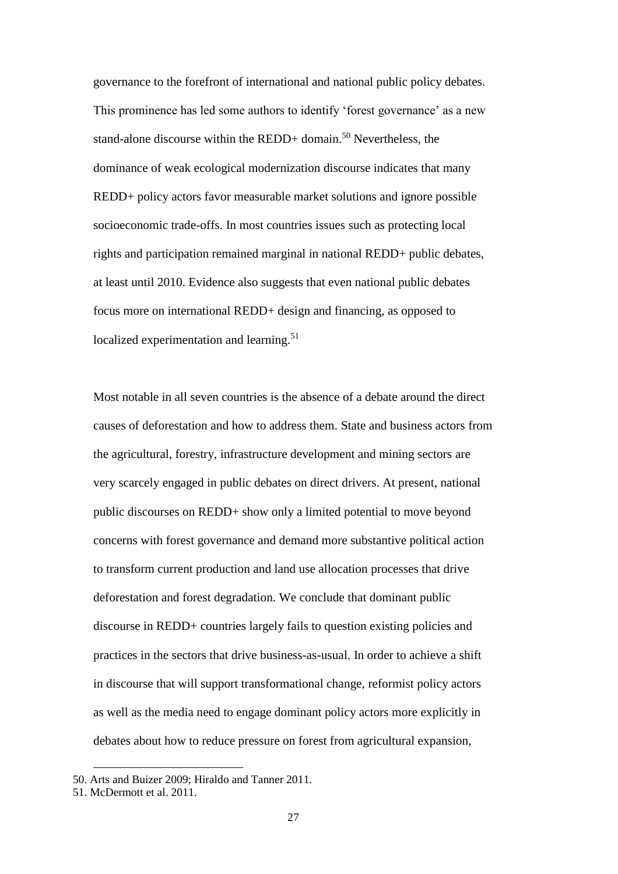governance to the forefront of international and national public policy debates. This prominence has led some authors to identify 'forest governance' as a new stand-alone discourse within the REDD+ domain.<sup>50</sup> Nevertheless, the dominance of weak ecological modernization discourse indicates that many REDD+ policy actors favor measurable market solutions and ignore possible socioeconomic trade-offs. In most countries issues such as protecting local rights and participation remained marginal in national REDD+ public debates, at least until 2010. Evidence also suggests that even national public debates focus more on international REDD+ design and financing, as opposed to localized experimentation and learning.<sup>51</sup>

Most notable in all seven countries is the absence of a debate around the direct causes of deforestation and how to address them. State and business actors from the agricultural, forestry, infrastructure development and mining sectors are very scarcely engaged in public debates on direct drivers. At present, national public discourses on REDD+ show only a limited potential to move beyond concerns with forest governance and demand more substantive political action to transform current production and land use allocation processes that drive deforestation and forest degradation. We conclude that dominant public discourse in REDD+ countries largely fails to question existing policies and practices in the sectors that drive business-as-usual. In order to achieve a shift in discourse that will support transformational change, reformist policy actors as well as the media need to engage dominant policy actors more explicitly in debates about how to reduce pressure on forest from agricultural expansion,

 $\ddot{\phantom{a}}$ 

<sup>50.</sup> Arts and Buizer 2009; Hiraldo and Tanner 2011.

<sup>51.</sup> McDermott et al. 2011.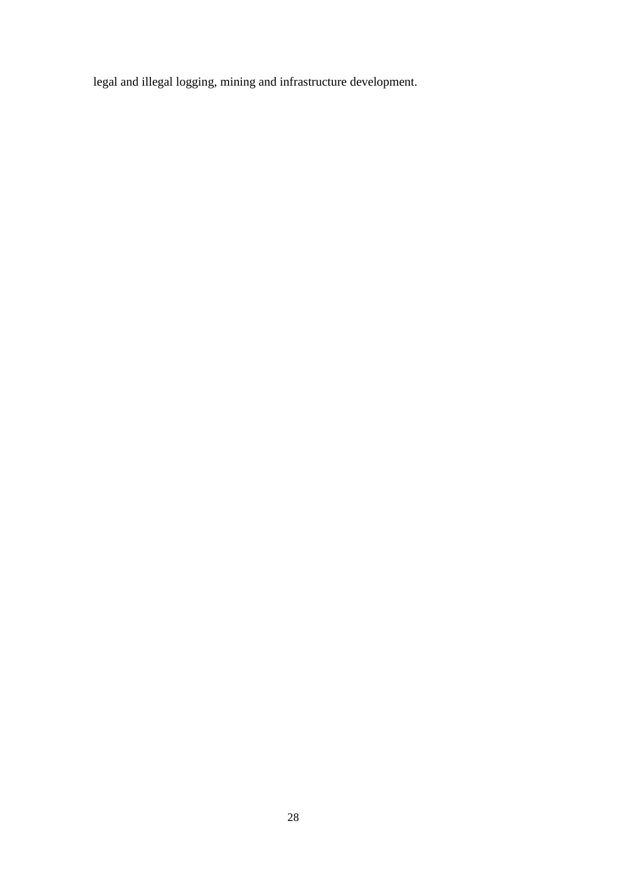legal and illegal logging, mining and infrastructure development.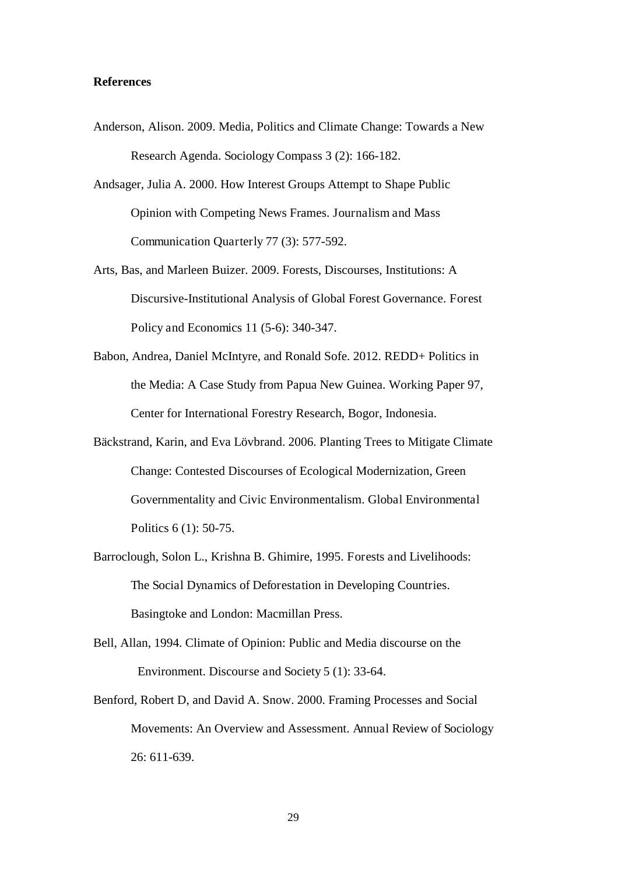#### **References**

- Anderson, Alison. 2009. Media, Politics and Climate Change: Towards a New Research Agenda. Sociology Compass 3 (2): 166-182.
- Andsager, Julia A. 2000. How Interest Groups Attempt to Shape Public Opinion with Competing News Frames. Journalism and Mass Communication Quarterly 77 (3): 577-592.
- Arts, Bas, and Marleen Buizer. 2009. Forests, Discourses, Institutions: A Discursive-Institutional Analysis of Global Forest Governance. Forest Policy and Economics 11 (5-6): 340-347.
- Babon, Andrea, Daniel McIntyre, and Ronald Sofe. 2012. REDD+ Politics in the Media: A Case Study from Papua New Guinea. Working Paper 97, Center for International Forestry Research, Bogor, Indonesia.
- Bäckstrand, Karin, and Eva Lövbrand. 2006. Planting Trees to Mitigate Climate Change: Contested Discourses of Ecological Modernization, Green Governmentality and Civic Environmentalism. Global Environmental Politics 6 (1): 50-75.
- Barroclough, Solon L., Krishna B. Ghimire, 1995. Forests and Livelihoods: The Social Dynamics of Deforestation in Developing Countries. Basingtoke and London: Macmillan Press.
- Bell, Allan, 1994. Climate of Opinion: Public and Media discourse on the Environment. Discourse and Society 5 (1): 33-64.
- Benford, Robert D, and David A. Snow. 2000. Framing Processes and Social Movements: An Overview and Assessment. Annual Review of Sociology 26: 611-639.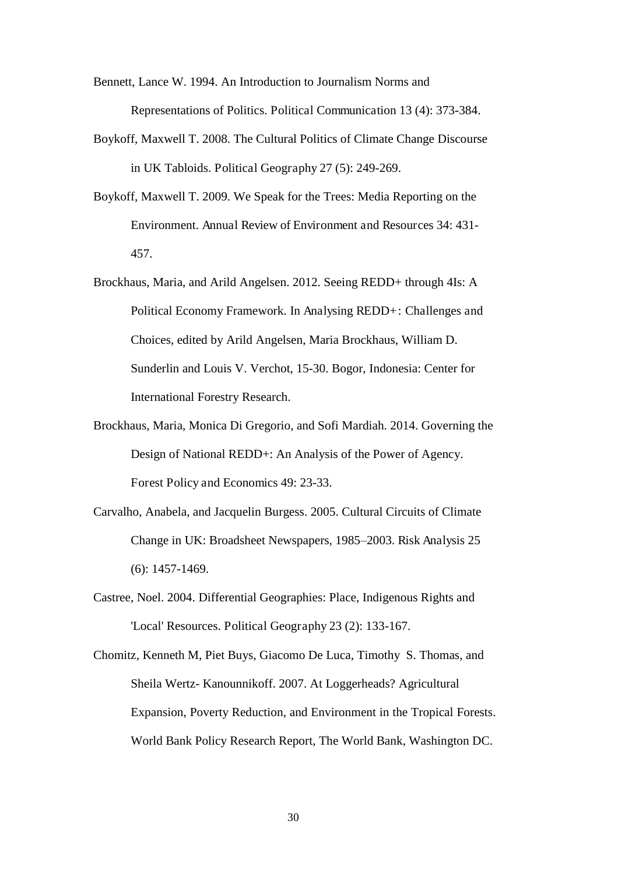Bennett, Lance W. 1994. An Introduction to Journalism Norms and Representations of Politics. Political Communication 13 (4): 373-384.

- Boykoff, Maxwell T. 2008. The Cultural Politics of Climate Change Discourse in UK Tabloids. Political Geography 27 (5): 249-269.
- Boykoff, Maxwell T. 2009. We Speak for the Trees: Media Reporting on the Environment. Annual Review of Environment and Resources 34: 431- 457.
- Brockhaus, Maria, and Arild Angelsen. 2012. Seeing REDD+ through 4Is: A Political Economy Framework. In Analysing REDD+: Challenges and Choices, edited by Arild Angelsen, Maria Brockhaus, William D. Sunderlin and Louis V. Verchot, 15-30. Bogor, Indonesia: Center for International Forestry Research.
- Brockhaus, Maria, Monica Di Gregorio, and Sofi Mardiah. 2014. Governing the Design of National REDD+: An Analysis of the Power of Agency. Forest Policy and Economics 49: 23-33.
- Carvalho, Anabela, and Jacquelin Burgess. 2005. Cultural Circuits of Climate Change in UK: Broadsheet Newspapers, 1985–2003. Risk Analysis 25 (6): 1457-1469.
- Castree, Noel. 2004. Differential Geographies: Place, Indigenous Rights and 'Local' Resources. Political Geography 23 (2): 133-167.
- Chomitz, Kenneth M, Piet Buys, Giacomo De Luca, Timothy S. Thomas, and Sheila Wertz- Kanounnikoff. 2007. At Loggerheads? Agricultural Expansion, Poverty Reduction, and Environment in the Tropical Forests. World Bank Policy Research Report, The World Bank, Washington DC.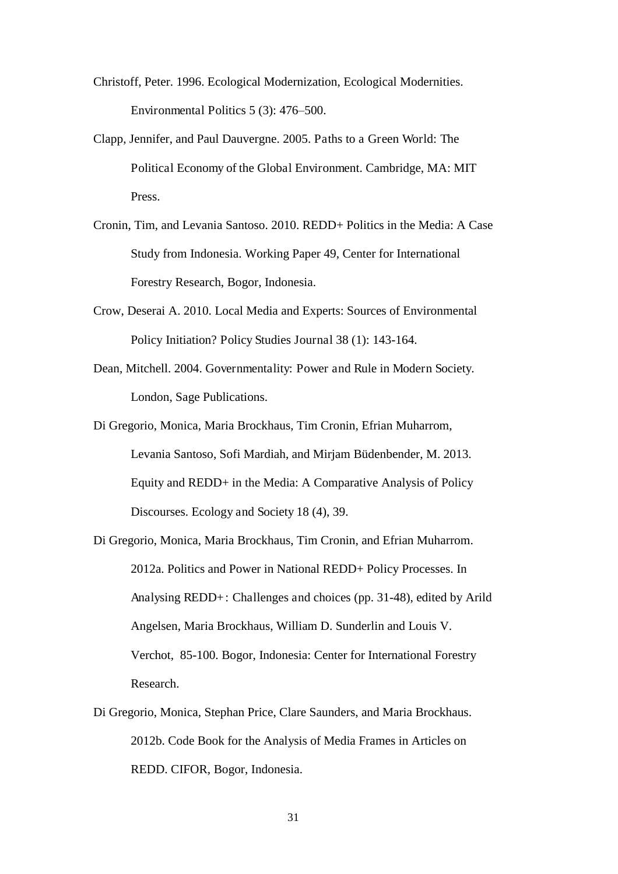- Christoff, Peter. 1996. Ecological Modernization, Ecological Modernities. Environmental Politics 5 (3): 476–500.
- Clapp, Jennifer, and Paul Dauvergne. 2005. Paths to a Green World: The Political Economy of the Global Environment. Cambridge, MA: MIT Press.
- Cronin, Tim, and Levania Santoso. 2010. REDD+ Politics in the Media: A Case Study from Indonesia. Working Paper 49, Center for International Forestry Research, Bogor, Indonesia.
- Crow, Deserai A. 2010. Local Media and Experts: Sources of Environmental Policy Initiation? Policy Studies Journal 38 (1): 143-164.
- Dean, Mitchell. 2004. Governmentality: Power and Rule in Modern Society. London, Sage Publications.
- Di Gregorio, Monica, Maria Brockhaus, Tim Cronin, Efrian Muharrom, Levania Santoso, Sofi Mardiah, and Mirjam Büdenbender, M. 2013. Equity and REDD+ in the Media: A Comparative Analysis of Policy Discourses. Ecology and Society 18 (4), 39.
- Di Gregorio, Monica, Maria Brockhaus, Tim Cronin, and Efrian Muharrom. 2012a. Politics and Power in National REDD+ Policy Processes. In Analysing REDD+: Challenges and choices (pp. 31-48), edited by Arild Angelsen, Maria Brockhaus, William D. Sunderlin and Louis V. Verchot, 85-100. Bogor, Indonesia: Center for International Forestry Research.
- Di Gregorio, Monica, Stephan Price, Clare Saunders, and Maria Brockhaus. 2012b. Code Book for the Analysis of Media Frames in Articles on REDD. CIFOR, Bogor, Indonesia.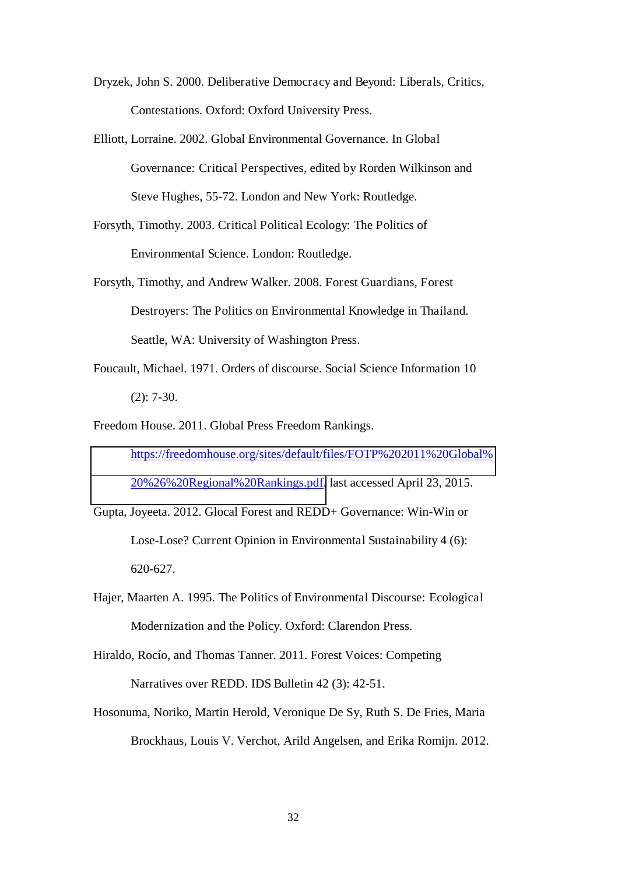- Dryzek, John S. 2000. Deliberative Democracy and Beyond: Liberals, Critics, Contestations. Oxford: Oxford University Press.
- Elliott, Lorraine. 2002. Global Environmental Governance. In Global Governance: Critical Perspectives, edited by Rorden Wilkinson and Steve Hughes, 55-72. London and New York: Routledge.
- Forsyth, Timothy. 2003. Critical Political Ecology: The Politics of Environmental Science. London: Routledge.
- Forsyth, Timothy, and Andrew Walker. 2008. Forest Guardians, Forest Destroyers: The Politics on Environmental Knowledge in Thailand. Seattle, WA: University of Washington Press.
- Foucault, Michael. 1971. Orders of discourse. Social Science Information 10 (2): 7-30.
- Freedom House. 2011. Global Press Freedom Rankings. [https://freedomhouse.org/sites/default/files/FOTP%202011%20Global%](https://freedomhouse.org/sites/default/files/FOTP%202011%20Global%20%26%20Regional%20Rankings.pdf) [20%26%20Regional%20Rankings.pdf,](https://freedomhouse.org/sites/default/files/FOTP%202011%20Global%20%26%20Regional%20Rankings.pdf) last accessed April 23, 2015.
- Gupta, Joyeeta. 2012. Glocal Forest and REDD+ Governance: Win-Win or Lose-Lose? Current Opinion in Environmental Sustainability 4 (6): 620-627.
- Hajer, Maarten A. 1995. The Politics of Environmental Discourse: Ecological Modernization and the Policy. Oxford: Clarendon Press.
- Hiraldo, Rocío, and Thomas Tanner. 2011. Forest Voices: Competing Narratives over REDD. IDS Bulletin 42 (3): 42-51.
- Hosonuma, Noriko, Martin Herold, Veronique De Sy, Ruth S. De Fries, Maria Brockhaus, Louis V. Verchot, Arild Angelsen, and Erika Romijn. 2012.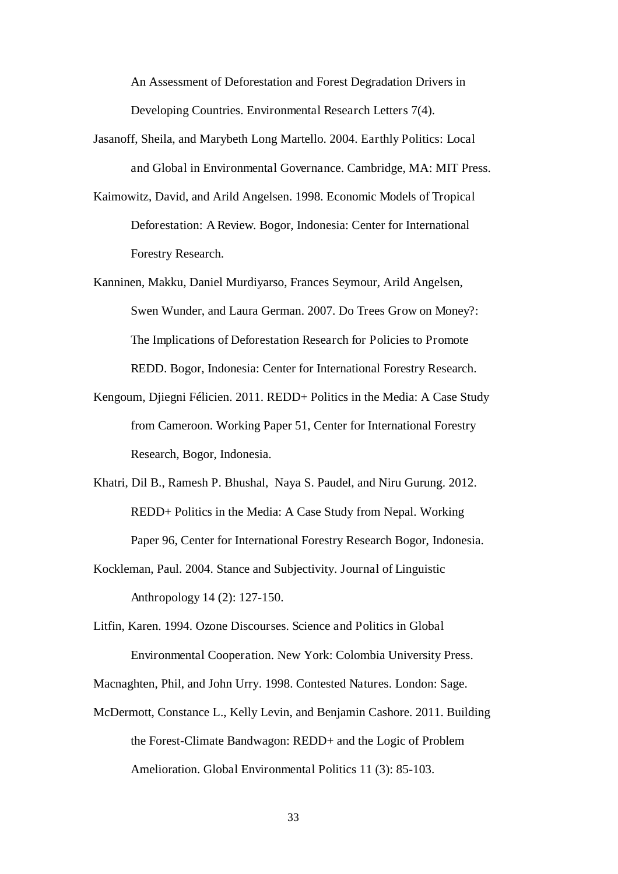An Assessment of Deforestation and Forest Degradation Drivers in Developing Countries. Environmental Research Letters 7(4).

- Jasanoff, Sheila, and Marybeth Long Martello. 2004. Earthly Politics: Local and Global in Environmental Governance. Cambridge, MA: MIT Press.
- Kaimowitz, David, and Arild Angelsen. 1998. Economic Models of Tropical Deforestation: A Review. Bogor, Indonesia: Center for International Forestry Research.
- Kanninen, Makku, Daniel Murdiyarso, Frances Seymour, Arild Angelsen, Swen Wunder, and Laura German. 2007. Do Trees Grow on Money?: The Implications of Deforestation Research for Policies to Promote REDD. Bogor, Indonesia: Center for International Forestry Research.
- Kengoum, Djiegni Félicien. 2011. REDD+ Politics in the Media: A Case Study from Cameroon. Working Paper 51, Center for International Forestry Research, Bogor, Indonesia.
- Khatri, Dil B., Ramesh P. Bhushal, Naya S. Paudel, and Niru Gurung. 2012. REDD+ Politics in the Media: A Case Study from Nepal. Working Paper 96, Center for International Forestry Research Bogor, Indonesia.
- Kockleman, Paul. 2004. Stance and Subjectivity. Journal of Linguistic Anthropology 14 (2): 127-150.
- Litfin, Karen. 1994. Ozone Discourses. Science and Politics in Global Environmental Cooperation. New York: Colombia University Press.

Macnaghten, Phil, and John Urry. 1998. Contested Natures. London: Sage.

McDermott, Constance L., Kelly Levin, and Benjamin Cashore. 2011. Building the Forest-Climate Bandwagon: REDD+ and the Logic of Problem Amelioration. Global Environmental Politics 11 (3): 85-103.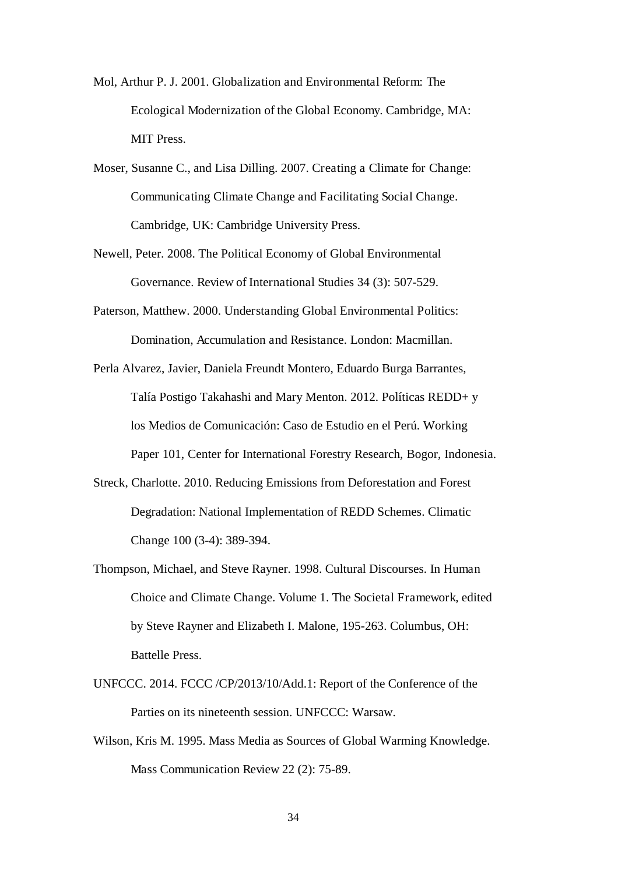- Mol, Arthur P. J. 2001. Globalization and Environmental Reform: The Ecological Modernization of the Global Economy. Cambridge, MA: MIT Press.
- Moser, Susanne C., and Lisa Dilling. 2007. Creating a Climate for Change: Communicating Climate Change and Facilitating Social Change. Cambridge, UK: Cambridge University Press.
- Newell, Peter. 2008. The Political Economy of Global Environmental Governance. Review of International Studies 34 (3): 507-529.
- Paterson, Matthew. 2000. Understanding Global Environmental Politics: Domination, Accumulation and Resistance. London: Macmillan.

Perla Alvarez, Javier, Daniela Freundt Montero, Eduardo Burga Barrantes, Talía Postigo Takahashi and Mary Menton. 2012. Políticas REDD+ y los Medios de Comunicación: Caso de Estudio en el Perú. Working Paper 101, Center for International Forestry Research, Bogor, Indonesia.

- Streck, Charlotte. 2010. Reducing Emissions from Deforestation and Forest Degradation: National Implementation of REDD Schemes. Climatic Change 100 (3-4): 389-394.
- Thompson, Michael, and Steve Rayner. 1998. Cultural Discourses. In Human Choice and Climate Change. Volume 1. The Societal Framework, edited by Steve Rayner and Elizabeth I. Malone, 195-263. Columbus, OH: Battelle Press.
- UNFCCC. 2014. FCCC /CP/2013/10/Add.1: Report of the Conference of the Parties on its nineteenth session. UNFCCC: Warsaw.
- Wilson, Kris M. 1995. Mass Media as Sources of Global Warming Knowledge. Mass Communication Review 22 (2): 75-89.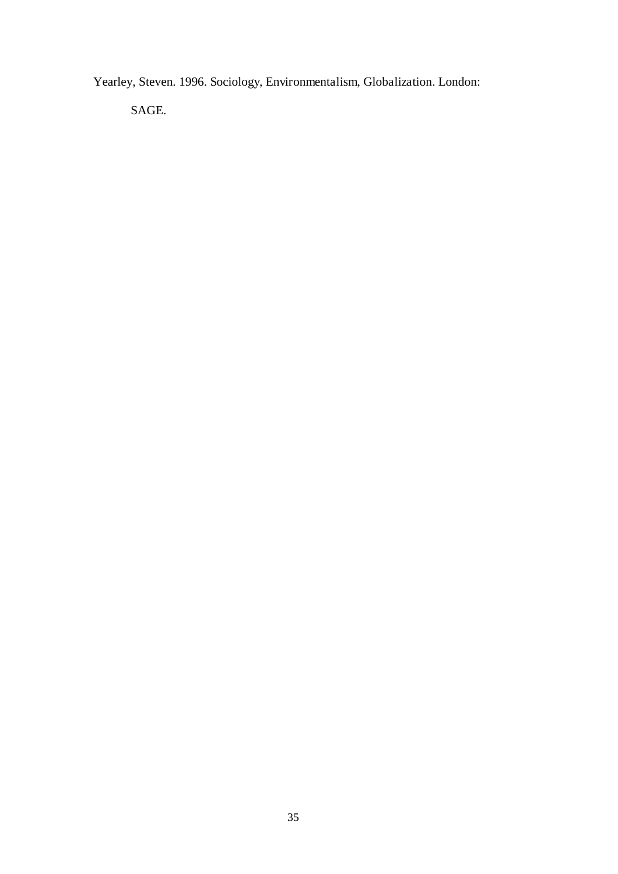Yearley, Steven. 1996. Sociology, Environmentalism, Globalization. London:

SAGE.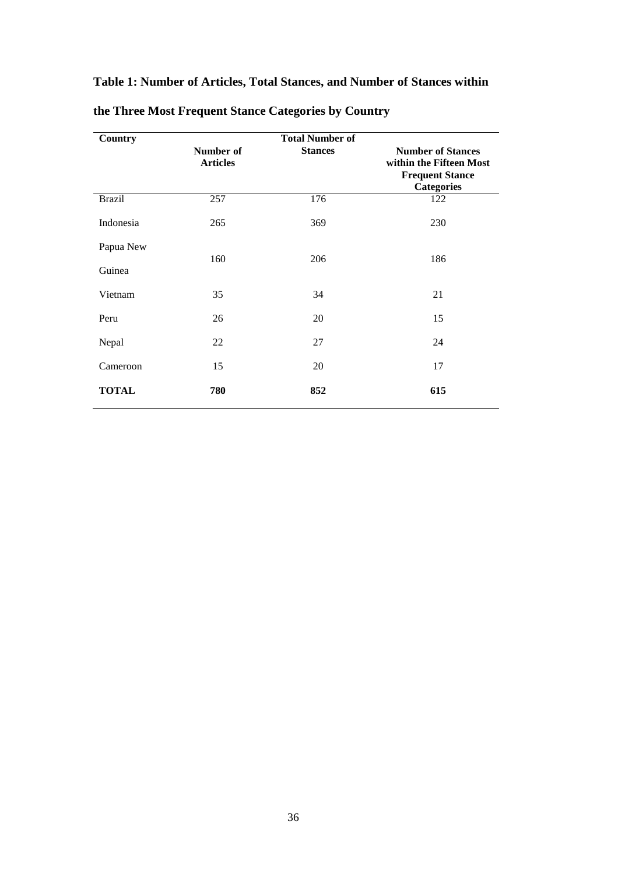# **Table 1: Number of Articles, Total Stances, and Number of Stances within**

| Country       |                              | <b>Total Number of</b> |                                                                                                    |  |  |
|---------------|------------------------------|------------------------|----------------------------------------------------------------------------------------------------|--|--|
|               | Number of<br><b>Articles</b> | <b>Stances</b>         | <b>Number of Stances</b><br>within the Fifteen Most<br><b>Frequent Stance</b><br><b>Categories</b> |  |  |
| <b>Brazil</b> | 257                          | 176                    | 122                                                                                                |  |  |
| Indonesia     | 265                          | 369                    | 230                                                                                                |  |  |
| Papua New     | 160                          | 206                    | 186                                                                                                |  |  |
| Guinea        |                              |                        |                                                                                                    |  |  |
| Vietnam       | 35                           | 34                     | 21                                                                                                 |  |  |
| Peru          | 26                           | 20                     | 15                                                                                                 |  |  |
| Nepal         | 22                           | 27                     | 24                                                                                                 |  |  |
| Cameroon      | 15                           | 20                     | 17                                                                                                 |  |  |
| <b>TOTAL</b>  | 780                          | 852                    | 615                                                                                                |  |  |

# **the Three Most Frequent Stance Categories by Country**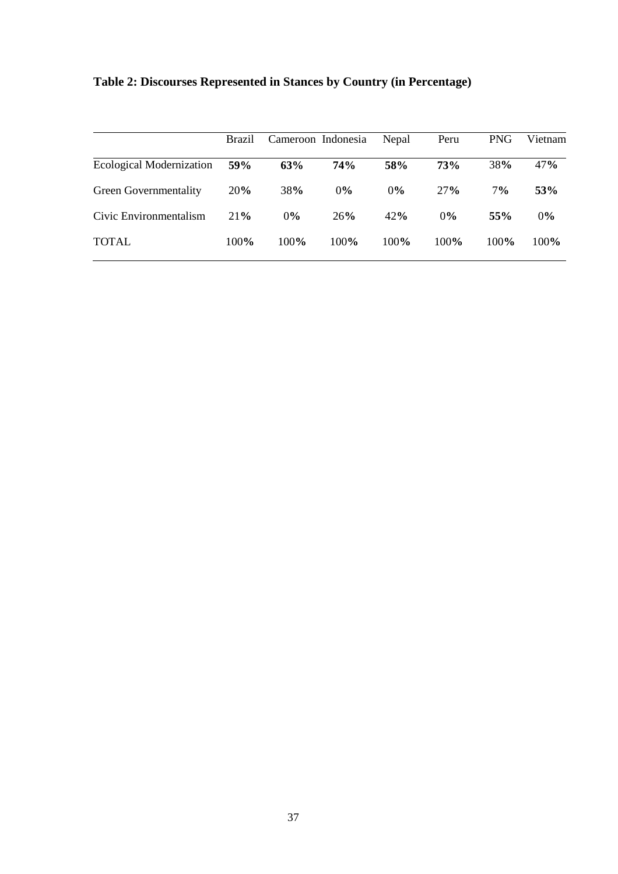|                                 | Brazil | Cameroon Indonesia |       | Nepal | Peru       | <b>PNG</b> | Vietnam |
|---------------------------------|--------|--------------------|-------|-------|------------|------------|---------|
| <b>Ecological Modernization</b> | 59%    | 63%                | 74%   | 58%   | <b>73%</b> | 38%        | 47%     |
| Green Governmentality           | 20%    | 38%                | $0\%$ | 0%    | 27%        | 7%         | 53%     |
| Civic Environmentalism          | 21%    | $0\%$              | 26%   | 42%   | 0%         | 55%        | $0\%$   |
| <b>TOTAL</b>                    | 100%   | 100%               | 100%  | 100%  | 100%       | 100%       | 100%    |

| Table 2: Discourses Represented in Stances by Country (in Percentage) |  |  |  |  |
|-----------------------------------------------------------------------|--|--|--|--|
|-----------------------------------------------------------------------|--|--|--|--|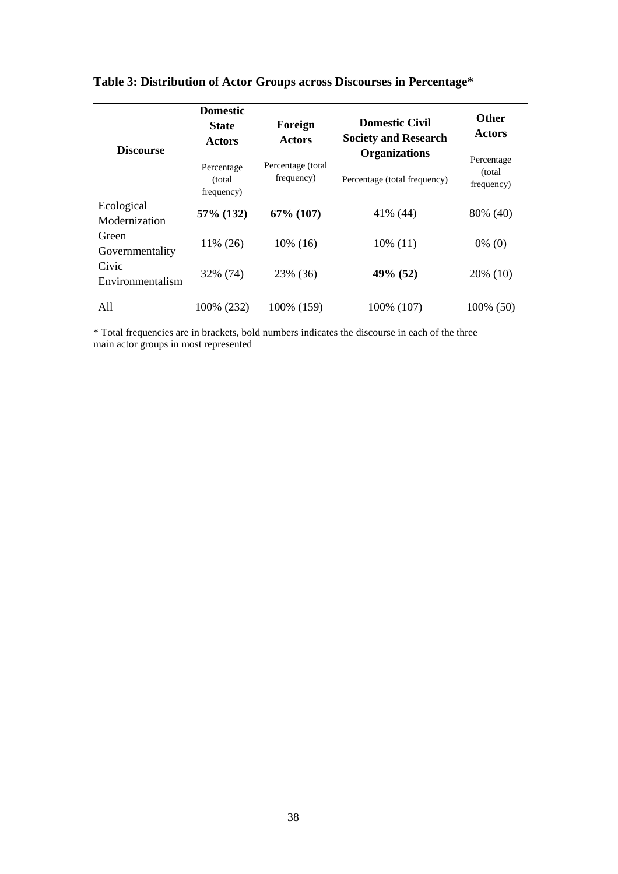|                                           | <b>Domestic</b><br><b>State</b><br>Actors                              | Foreign<br><b>Actors</b>     | <b>Domestic Civil</b><br><b>Society and Research</b> | <b>Other</b><br><b>Actors</b> |
|-------------------------------------------|------------------------------------------------------------------------|------------------------------|------------------------------------------------------|-------------------------------|
| <b>Discourse</b>                          | Percentage (total<br>Percentage<br>frequency)<br>(total)<br>frequency) |                              | <b>Organizations</b>                                 | Percentage                    |
|                                           |                                                                        | Percentage (total frequency) | (total)<br>frequency)                                |                               |
| Ecological                                | 57% (132)                                                              | $67\%$ (107)                 | 41% (44)                                             | 80% (40)                      |
| Modernization<br>Green<br>Governmentality | 11% (26)                                                               | 10% (16)                     | $10\%$ (11)                                          | $0\%$ (0)                     |
| Civic<br>Environmentalism                 | 32% (74)                                                               | 23% (36)                     | 49% (52)                                             | 20% (10)                      |
| A11                                       | 100% (232)                                                             | 100% (159)                   | 100% (107)                                           | 100% (50)                     |

# **Table 3: Distribution of Actor Groups across Discourses in Percentage\***

\* Total frequencies are in brackets, bold numbers indicates the discourse in each of the three main actor groups in most represented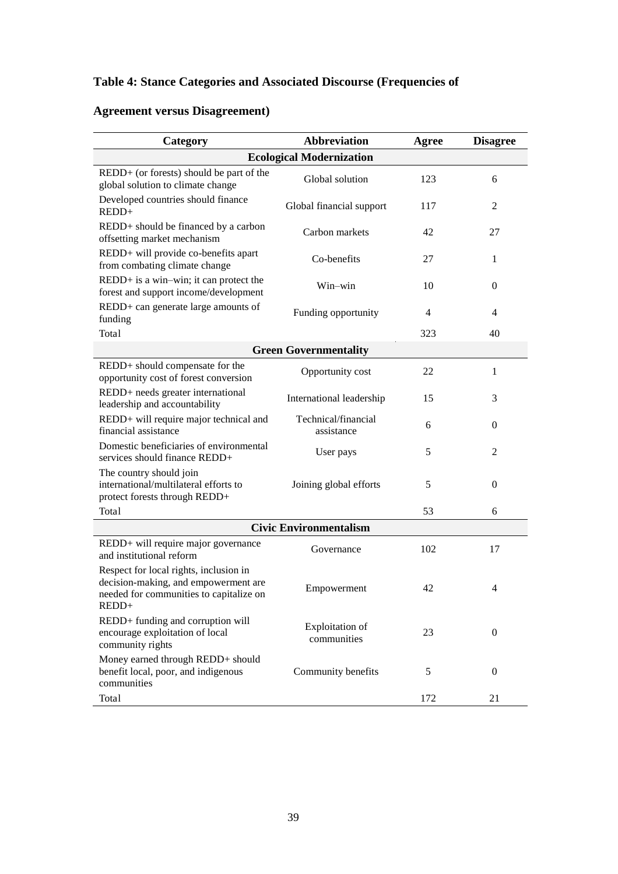# **Table 4: Stance Categories and Associated Discourse (Frequencies of**

# **Agreement versus Disagreement)**

| Category                                                                                                                           | <b>Abbreviation</b>                   | Agree | <b>Disagree</b> |  |  |  |
|------------------------------------------------------------------------------------------------------------------------------------|---------------------------------------|-------|-----------------|--|--|--|
| <b>Ecological Modernization</b>                                                                                                    |                                       |       |                 |  |  |  |
| $REDD+$ (or forests) should be part of the<br>global solution to climate change                                                    | Global solution                       | 123   | 6               |  |  |  |
| Developed countries should finance<br>REDD+                                                                                        | Global financial support              | 117   | 2               |  |  |  |
| REDD+ should be financed by a carbon<br>offsetting market mechanism                                                                | Carbon markets                        | 42    | 27              |  |  |  |
| REDD+ will provide co-benefits apart<br>from combating climate change                                                              | Co-benefits                           | 27    | 1               |  |  |  |
| REDD+ is a win-win; it can protect the<br>forest and support income/development                                                    | Win-win                               | 10    | $\mathbf{0}$    |  |  |  |
| REDD+ can generate large amounts of<br>funding                                                                                     | Funding opportunity                   | 4     | $\overline{4}$  |  |  |  |
| Total                                                                                                                              |                                       | 323   | 40              |  |  |  |
|                                                                                                                                    | <b>Green Governmentality</b>          |       |                 |  |  |  |
| REDD+ should compensate for the<br>opportunity cost of forest conversion                                                           | Opportunity cost                      | 22    | 1               |  |  |  |
| REDD+ needs greater international<br>leadership and accountability                                                                 | International leadership              | 15    | 3               |  |  |  |
| REDD+ will require major technical and<br>financial assistance                                                                     | Technical/financial<br>assistance     | 6     | $\theta$        |  |  |  |
| Domestic beneficiaries of environmental<br>services should finance REDD+                                                           | User pays                             | 5     | 2               |  |  |  |
| The country should join<br>international/multilateral efforts to<br>protect forests through REDD+                                  | Joining global efforts                | 5     | $\mathbf{0}$    |  |  |  |
| Total                                                                                                                              |                                       | 53    | 6               |  |  |  |
|                                                                                                                                    | <b>Civic Environmentalism</b>         |       |                 |  |  |  |
| REDD+ will require major governance<br>and institutional reform                                                                    | Governance                            | 102   | 17              |  |  |  |
| Respect for local rights, inclusion in<br>decision-making, and empowerment are<br>needed for communities to capitalize on<br>REDD+ | Empowerment                           | 42    | 4               |  |  |  |
| REDD+ funding and corruption will<br>encourage exploitation of local<br>community rights                                           | <b>Exploitation</b> of<br>communities | 23    | $\mathbf{0}$    |  |  |  |
| Money earned through REDD+ should<br>benefit local, poor, and indigenous<br>communities                                            | Community benefits                    | 5     | $\overline{0}$  |  |  |  |
| Total                                                                                                                              |                                       | 172   | 21              |  |  |  |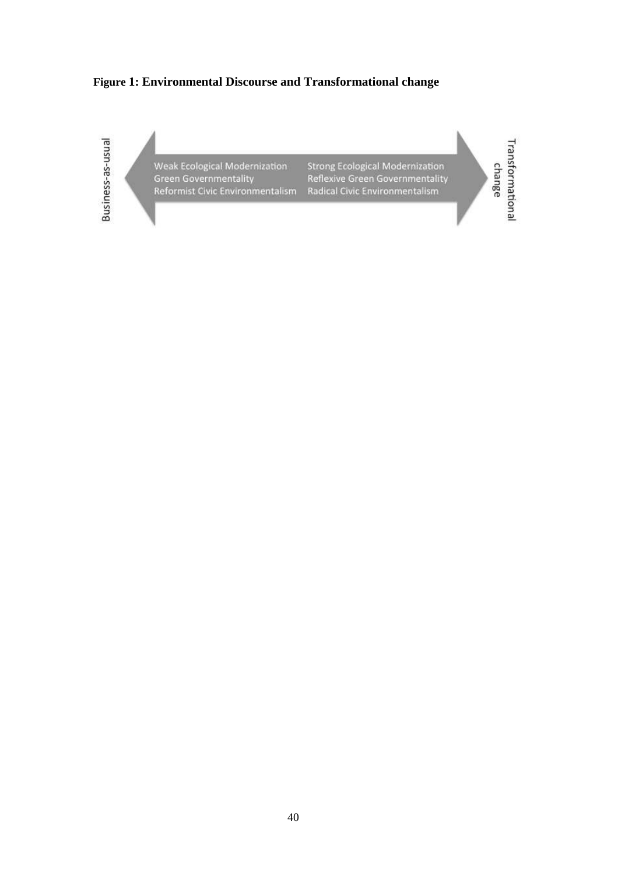### **Figure 1: Environmental Discourse and Transformational change**

Business-as-usual

Weak Ecological Modernization Green Governmentality<br>Reformist Civic Environmentalism **Strong Ecological Modernization** Reflexive Green Governmentality<br>Radical Civic Environmentalism

Transformational change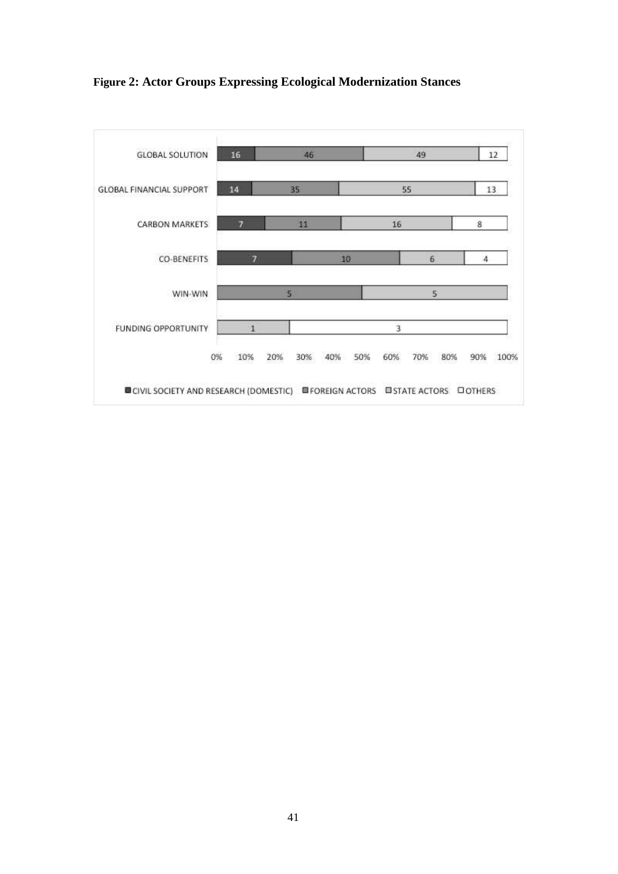

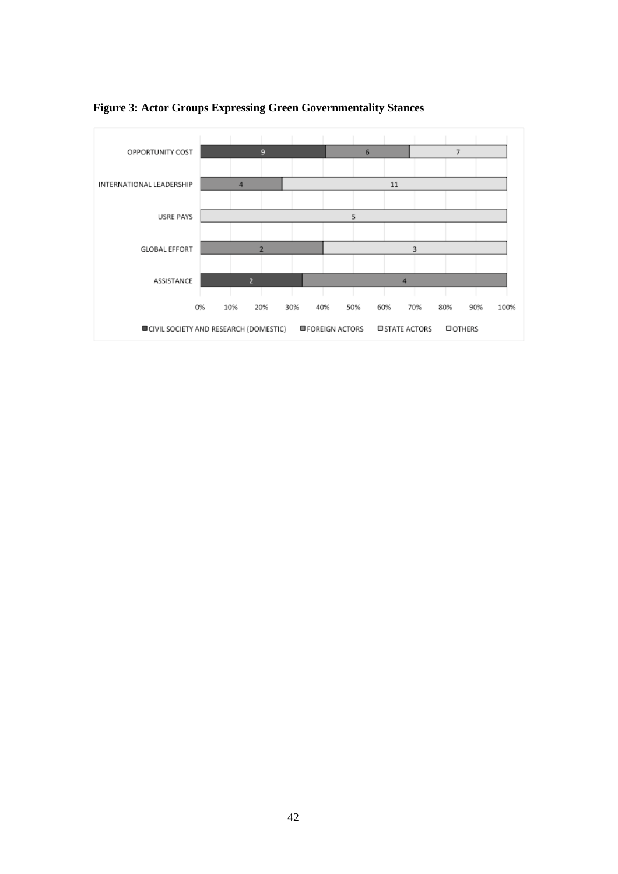

**Figure 3: Actor Groups Expressing Green Governmentality Stances**